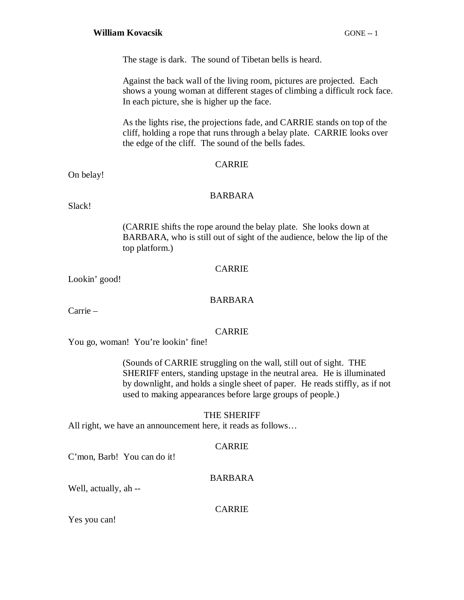#### **William Kovacsik** GONE -- 1

The stage is dark. The sound of Tibetan bells is heard.

Against the back wall of the living room, pictures are projected. Each shows a young woman at different stages of climbing a difficult rock face. In each picture, she is higher up the face.

As the lights rise, the projections fade, and CARRIE stands on top of the cliff, holding a rope that runs through a belay plate. CARRIE looks over the edge of the cliff. The sound of the bells fades.

#### CARRIE

On belay!

#### BARBARA

Slack!

(CARRIE shifts the rope around the belay plate. She looks down at BARBARA, who is still out of sight of the audience, below the lip of the top platform.)

#### CARRIE

Lookin' good!

#### BARBARA

Carrie –

#### CARRIE

You go, woman! You're lookin' fine!

(Sounds of CARRIE struggling on the wall, still out of sight. THE SHERIFF enters, standing upstage in the neutral area. He is illuminated by downlight, and holds a single sheet of paper. He reads stiffly, as if not used to making appearances before large groups of people.)

#### THE SHERIFF

All right, we have an announcement here, it reads as follows…

#### CARRIE

C'mon, Barb! You can do it!

#### BARBARA

Well, actually, ah --

#### CARRIE

Yes you can!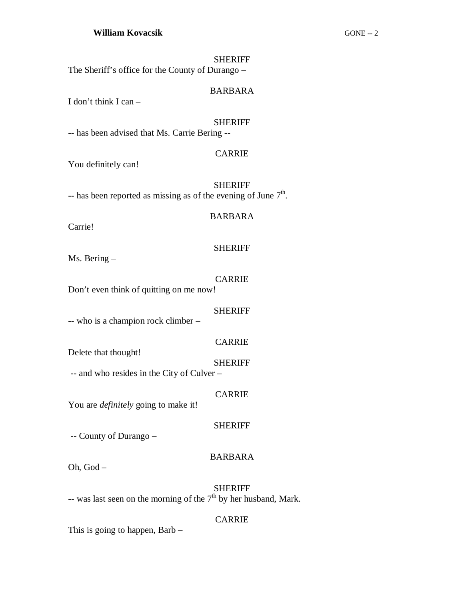#### **SHERIFF**

The Sheriff's office for the County of Durango –

#### BARBARA

I don't think I can –

#### SHERIFF

-- has been advised that Ms. Carrie Bering --

#### CARRIE

You definitely can!

SHERIFF -- has been reported as missing as of the evening of June  $7<sup>th</sup>$ .

#### BARBARA

Carrie!

#### SHERIFF

Ms. Bering –

#### CARRIE

Don't even think of quitting on me now!

#### SHERIFF

-- who is a champion rock climber –

#### CARRIE

**SHERIFF** 

-- and who resides in the City of Culver –

#### CARRIE

You are *definitely* going to make it!

#### SHERIFF

-- County of Durango –

Delete that thought!

#### BARBARA

Oh, God –

# SHERIFF -- was last seen on the morning of the  $7<sup>th</sup>$  by her husband, Mark.

#### CARRIE

This is going to happen, Barb –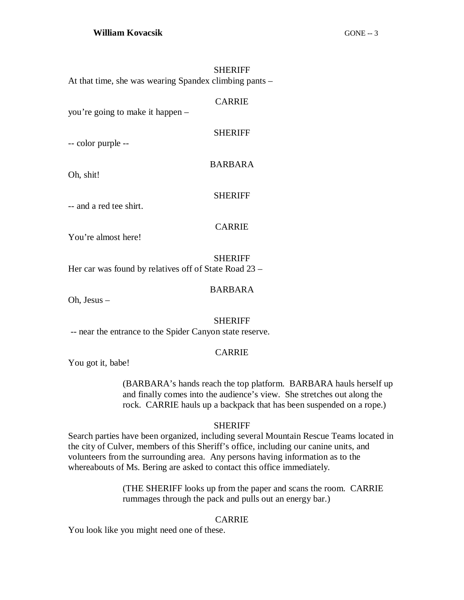SHERIFF At that time, she was wearing Spandex climbing pants –

you're going to make it happen –

-- color purple --

Oh, shit!

**SHERIFF** 

**CARRIE** 

SHERIFF

BARBARA

-- and a red tee shirt.

CARRIE

You're almost here!

SHERIFF

Her car was found by relatives off of State Road 23 –

BARBARA

Oh, Jesus –

#### SHERIFF

-- near the entrance to the Spider Canyon state reserve.

#### CARRIE

You got it, babe!

(BARBARA's hands reach the top platform. BARBARA hauls herself up and finally comes into the audience's view. She stretches out along the rock. CARRIE hauls up a backpack that has been suspended on a rope.)

#### SHERIFF

Search parties have been organized, including several Mountain Rescue Teams located in the city of Culver, members of this Sheriff's office, including our canine units, and volunteers from the surrounding area. Any persons having information as to the whereabouts of Ms. Bering are asked to contact this office immediately.

> (THE SHERIFF looks up from the paper and scans the room. CARRIE rummages through the pack and pulls out an energy bar.)

#### CARRIE

You look like you might need one of these.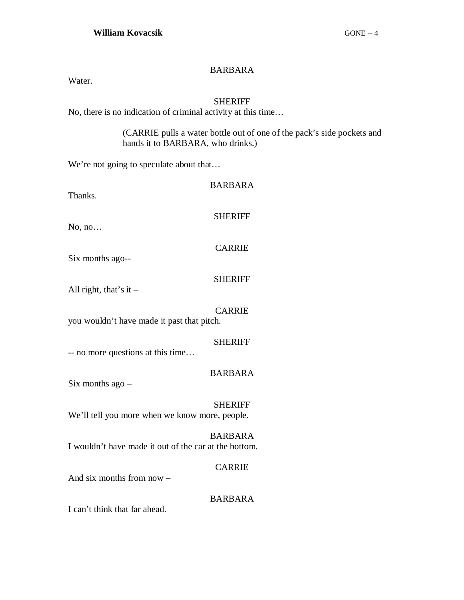# BARBARA

Water.

# **SHERIFF**

No, there is no indication of criminal activity at this time…

(CARRIE pulls a water bottle out of one of the pack's side pockets and hands it to BARBARA, who drinks.)

We're not going to speculate about that...

| Thanks.                                               | <b>BARBARA</b> |
|-------------------------------------------------------|----------------|
| No, no                                                | <b>SHERIFF</b> |
| Six months ago--                                      | <b>CARRIE</b>  |
| All right, that's it $-$                              | <b>SHERIFF</b> |
| you wouldn't have made it past that pitch.            | <b>CARRIE</b>  |
| -- no more questions at this time                     | <b>SHERIFF</b> |
| Six months $ago -$                                    | <b>BARBARA</b> |
| We'll tell you more when we know more, people.        | <b>SHERIFF</b> |
| I wouldn't have made it out of the car at the bottom. | <b>BARBARA</b> |
|                                                       | <b>CARRIE</b>  |

And six months from now –

#### BARBARA

I can't think that far ahead.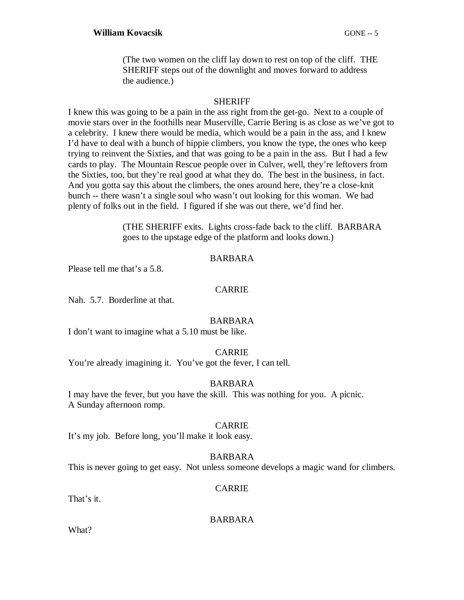(The two women on the cliff lay down to rest on top of the cliff. THE SHERIFF steps out of the downlight and moves forward to address the audience.)

## SHERIFF

I knew this was going to be a pain in the ass right from the get-go. Next to a couple of movie stars over in the foothills near Muserville, Carrie Bering is as close as we've got to a celebrity. I knew there would be media, which would be a pain in the ass, and I knew I'd have to deal with a bunch of hippie climbers, you know the type, the ones who keep trying to reinvent the Sixties, and that was going to be a pain in the ass. But I had a few cards to play. The Mountain Rescue people over in Culver, well, they're leftovers from the Sixties, too, but they're real good at what they do. The best in the business, in fact. And you gotta say this about the climbers, the ones around here, they're a close-knit bunch -- there wasn't a single soul who wasn't out looking for this woman. We had plenty of folks out in the field. I figured if she was out there, we'd find her.

> (THE SHERIFF exits. Lights cross-fade back to the cliff. BARBARA goes to the upstage edge of the platform and looks down.)

#### BARBARA

Please tell me that's a 5.8.

# CARRIE

Nah. 5.7. Borderline at that.

#### BARBARA

I don't want to imagine what a 5.10 must be like.

#### CARRIE

You're already imagining it. You've got the fever, I can tell.

#### BARBARA

I may have the fever, but you have the skill. This was nothing for you. A picnic. A Sunday afternoon romp.

#### CARRIE

It's my job. Before long, you'll make it look easy.

#### BARBARA

This is never going to get easy. Not unless someone develops a magic wand for climbers.

#### CARRIE

That's it.

BARBARA

What?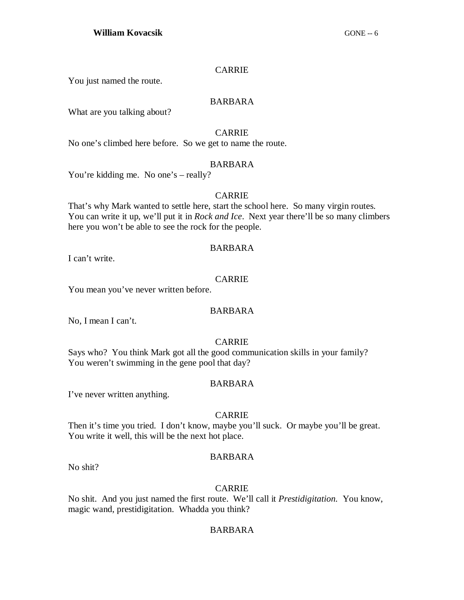# CARRIE

You just named the route.

# BARBARA

What are you talking about?

# CARRIE

No one's climbed here before. So we get to name the route.

#### BARBARA

You're kidding me. No one's – really?

#### CARRIE

That's why Mark wanted to settle here, start the school here. So many virgin routes. You can write it up, we'll put it in *Rock and Ice*. Next year there'll be so many climbers here you won't be able to see the rock for the people.

#### BARBARA

I can't write.

# CARRIE

You mean you've never written before.

# BARBARA

No, I mean I can't.

# CARRIE

Says who? You think Mark got all the good communication skills in your family? You weren't swimming in the gene pool that day?

#### BARBARA

I've never written anything.

# CARRIE

Then it's time you tried. I don't know, maybe you'll suck. Or maybe you'll be great. You write it well, this will be the next hot place.

#### BARBARA

No shit?

## CARRIE

No shit. And you just named the first route. We'll call it *Prestidigitation.* You know, magic wand, prestidigitation. Whadda you think?

# BARBARA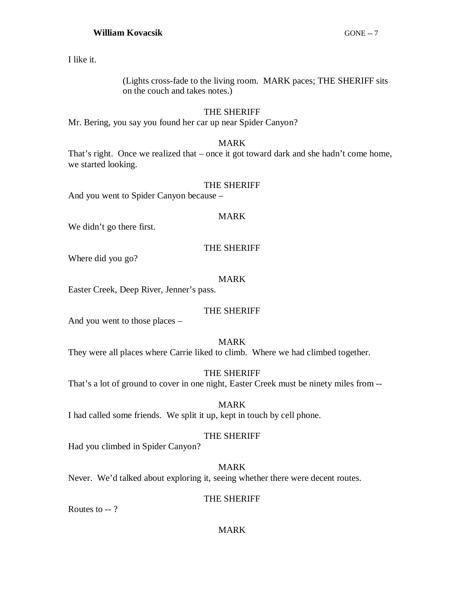I like it.

(Lights cross-fade to the living room. MARK paces; THE SHERIFF sits on the couch and takes notes.)

# THE SHERIFF

Mr. Bering, you say you found her car up near Spider Canyon?

# MARK

That's right. Once we realized that – once it got toward dark and she hadn't come home, we started looking.

# THE SHERIFF

And you went to Spider Canyon because –

# MARK

We didn't go there first.

# THE SHERIFF

Where did you go?

# MARK

Easter Creek, Deep River, Jenner's pass.

# THE SHERIFF

And you went to those places –

# MARK

They were all places where Carrie liked to climb. Where we had climbed together.

THE SHERIFF

That's a lot of ground to cover in one night, Easter Creek must be ninety miles from --

MARK I had called some friends. We split it up, kept in touch by cell phone.

# THE SHERIFF

Had you climbed in Spider Canyon?

MARK Never. We'd talked about exploring it, seeing whether there were decent routes.

#### THE SHERIFF

Routes to -- ?

#### MARK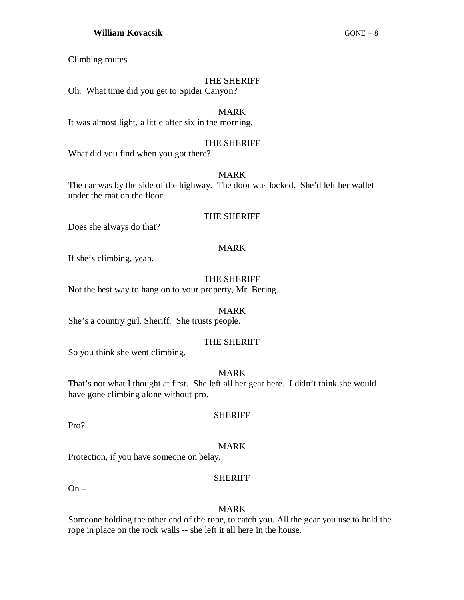# **William Kovacsik** GONE -- 8

Climbing routes.

#### THE SHERIFF

Oh. What time did you get to Spider Canyon?

## MARK

It was almost light, a little after six in the morning.

#### THE SHERIFF

What did you find when you got there?

# MARK

The car was by the side of the highway. The door was locked. She'd left her wallet under the mat on the floor.

#### THE SHERIFF

Does she always do that?

#### MARK

If she's climbing, yeah.

#### THE SHERIFF

Not the best way to hang on to your property, Mr. Bering.

#### MARK

She's a country girl, Sheriff. She trusts people.

# THE SHERIFF

So you think she went climbing.

#### MARK

That's not what I thought at first. She left all her gear here. I didn't think she would have gone climbing alone without pro.

Pro?

# SHERIFF

#### MARK

Protection, if you have someone on belay.

#### **SHERIFF**

On –

#### MARK

Someone holding the other end of the rope, to catch you. All the gear you use to hold the rope in place on the rock walls -- she left it all here in the house.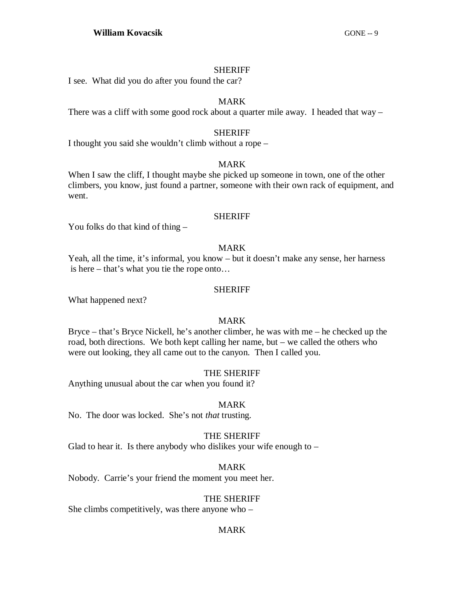#### SHERIFF

I see. What did you do after you found the car?

## MARK

There was a cliff with some good rock about a quarter mile away. I headed that way –

## SHERIFF

I thought you said she wouldn't climb without a rope –

#### MARK

When I saw the cliff, I thought maybe she picked up someone in town, one of the other climbers, you know, just found a partner, someone with their own rack of equipment, and went.

#### SHERIFF

You folks do that kind of thing –

#### MARK

Yeah, all the time, it's informal, you know – but it doesn't make any sense, her harness is here – that's what you tie the rope onto…

#### SHERIFF

What happened next?

# MARK

Bryce – that's Bryce Nickell, he's another climber, he was with me – he checked up the road, both directions. We both kept calling her name, but – we called the others who were out looking, they all came out to the canyon. Then I called you.

#### THE SHERIFF

Anything unusual about the car when you found it?

#### MARK

No. The door was locked. She's not *that* trusting.

#### THE SHERIFF

Glad to hear it. Is there anybody who dislikes your wife enough to  $-$ 

#### MARK

Nobody. Carrie's your friend the moment you meet her.

#### THE SHERIFF

She climbs competitively, was there anyone who –

#### MARK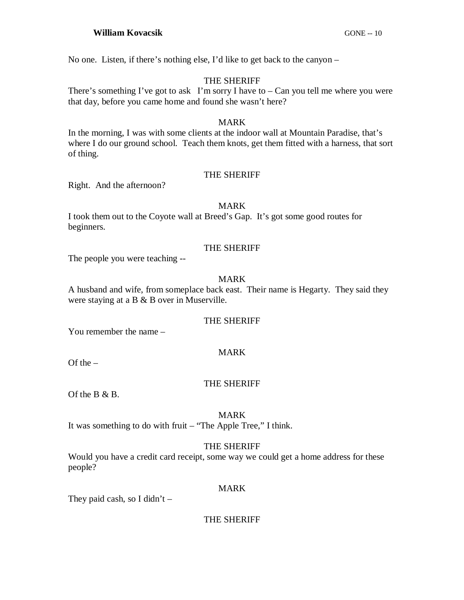No one. Listen, if there's nothing else, I'd like to get back to the canyon –

# THE SHERIFF

There's something I've got to ask I'm sorry I have to  $-$  Can you tell me where you were that day, before you came home and found she wasn't here?

#### MARK

In the morning, I was with some clients at the indoor wall at Mountain Paradise, that's where I do our ground school. Teach them knots, get them fitted with a harness, that sort of thing.

# THE SHERIFF

Right. And the afternoon?

#### MARK

I took them out to the Coyote wall at Breed's Gap. It's got some good routes for beginners.

#### THE SHERIFF

The people you were teaching --

# MARK

A husband and wife, from someplace back east. Their name is Hegarty. They said they were staying at a B & B over in Muserville.

#### THE SHERIFF

You remember the name –

#### MARK

Of the  $-$ 

#### THE SHERIFF

Of the B & B.

#### MARK

It was something to do with fruit – "The Apple Tree," I think.

#### THE SHERIFF

Would you have a credit card receipt, some way we could get a home address for these people?

#### MARK

They paid cash, so I didn't  $-$ 

THE SHERIFF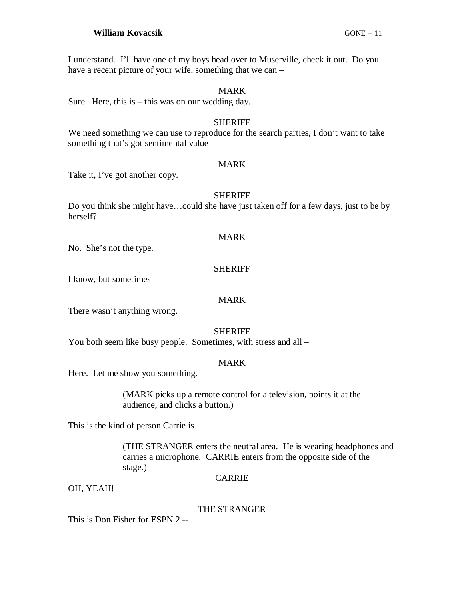#### **William Kovacsik** GONE -- 11

I understand. I'll have one of my boys head over to Muserville, check it out. Do you have a recent picture of your wife, something that we can –

#### MARK

Sure. Here, this is  $-$  this was on our wedding day.

#### SHERIFF

We need something we can use to reproduce for the search parties, I don't want to take something that's got sentimental value –

#### MARK

Take it, I've got another copy.

#### SHERIFF

Do you think she might have…could she have just taken off for a few days, just to be by herself?

#### MARK

No. She's not the type.

#### **SHERIFF**

I know, but sometimes –

#### MARK

There wasn't anything wrong.

#### SHERIFF

You both seem like busy people. Sometimes, with stress and all –

#### MARK

Here. Let me show you something.

(MARK picks up a remote control for a television, points it at the audience, and clicks a button.)

This is the kind of person Carrie is.

(THE STRANGER enters the neutral area. He is wearing headphones and carries a microphone. CARRIE enters from the opposite side of the stage.)

#### CARRIE

OH, YEAH!

#### THE STRANGER

This is Don Fisher for ESPN 2 --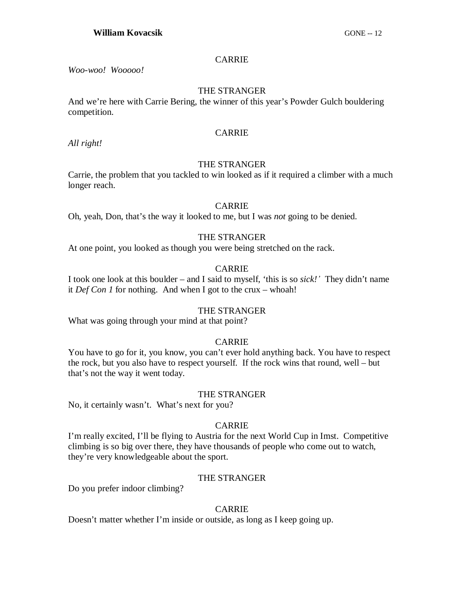#### CARRIE

*Woo-woo! Wooooo!*

#### THE STRANGER

And we're here with Carrie Bering, the winner of this year's Powder Gulch bouldering competition.

# CARRIE

*All right!*

# THE STRANGER

Carrie, the problem that you tackled to win looked as if it required a climber with a much longer reach.

#### CARRIE

Oh, yeah, Don, that's the way it looked to me, but I was *not* going to be denied.

# THE STRANGER

At one point, you looked as though you were being stretched on the rack.

# CARRIE

I took one look at this boulder – and I said to myself, 'this is so *sick!¶* They didn't name it *Def Con 1* for nothing. And when I got to the crux – whoah!

#### THE STRANGER

What was going through your mind at that point?

#### CARRIE

You have to go for it, you know, you can't ever hold anything back. You have to respect the rock, but you also have to respect yourself. If the rock wins that round, well – but that's not the way it went today.

#### THE STRANGER

No, it certainly wasn't. What's next for you?

# CARRIE

I'm really excited, I'll be flying to Austria for the next World Cup in Imst. Competitive climbing is so big over there, they have thousands of people who come out to watch, they're very knowledgeable about the sport.

#### THE STRANGER

Do you prefer indoor climbing?

# CARRIE

Doesn't matter whether I'm inside or outside, as long as I keep going up.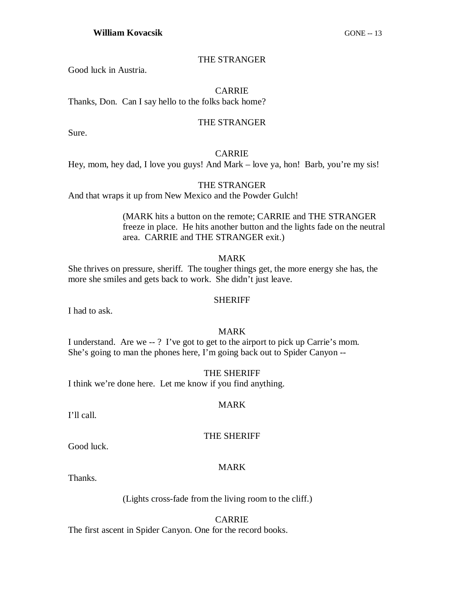THE STRANGER

Good luck in Austria.

#### CARRIE

Thanks, Don. Can I say hello to the folks back home?

#### THE STRANGER

Sure.

## CARRIE

Hey, mom, hey dad, I love you guys! And Mark – love ya, hon! Barb, you're my sis!

#### THE STRANGER

And that wraps it up from New Mexico and the Powder Gulch!

(MARK hits a button on the remote; CARRIE and THE STRANGER freeze in place. He hits another button and the lights fade on the neutral area. CARRIE and THE STRANGER exit.)

MARK

She thrives on pressure, sheriff. The tougher things get, the more energy she has, the more she smiles and gets back to work. She didn't just leave.

#### **SHERIFF**

I had to ask.

#### MARK

I understand. Are we -- ? I've got to get to the airport to pick up Carrie's mom. She's going to man the phones here, I'm going back out to Spider Canyon --

#### THE SHERIFF

I think we're done here. Let me know if you find anything.

#### MARK

I'll call.

#### THE SHERIFF

Good luck.

# MARK

Thanks.

(Lights cross-fade from the living room to the cliff.)

#### CARRIE

The first ascent in Spider Canyon. One for the record books.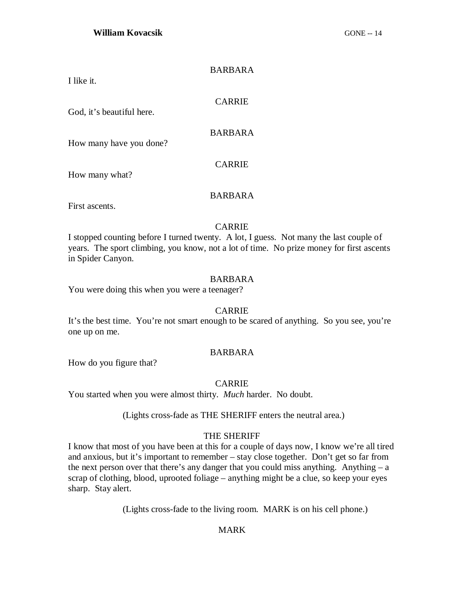#### BARBARA

I like it.

#### CARRIE

God, it's beautiful here.

## BARBARA

How many have you done?

How many what?

# BARBARA

CARRIE

First ascents.

#### CARRIE

I stopped counting before I turned twenty. A lot, I guess. Not many the last couple of years. The sport climbing, you know, not a lot of time. No prize money for first ascents in Spider Canyon.

# BARBARA

You were doing this when you were a teenager?

#### CARRIE

It's the best time. You're not smart enough to be scared of anything. So you see, you're one up on me.

#### BARBARA

How do you figure that?

#### CARRIE

You started when you were almost thirty. *Much* harder. No doubt.

(Lights cross-fade as THE SHERIFF enters the neutral area.)

#### THE SHERIFF

I know that most of you have been at this for a couple of days now, I know we're all tired and anxious, but it's important to remember – stay close together. Don't get so far from the next person over that there's any danger that you could miss anything. Anything  $- a$ scrap of clothing, blood, uprooted foliage – anything might be a clue, so keep your eyes sharp. Stay alert.

(Lights cross-fade to the living room. MARK is on his cell phone.)

# MARK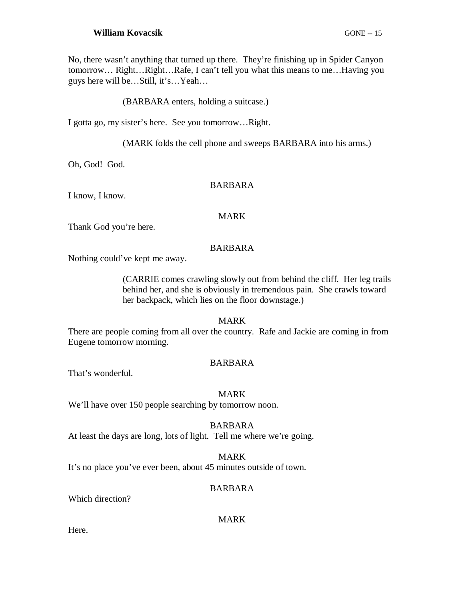# **William Kovacsik** GONE -- 15

No, there wasn't anything that turned up there. They're finishing up in Spider Canyon tomorrow… Right…Right…Rafe, I can't tell you what this means to me…Having you guys here will be…Still, it's…Yeah…

#### (BARBARA enters, holding a suitcase.)

I gotta go, my sister's here. See you tomorrow…Right.

(MARK folds the cell phone and sweeps BARBARA into his arms.)

Oh, God! God.

#### BARBARA

I know, I know.

#### MARK

Thank God you're here.

#### BARBARA

Nothing could've kept me away.

(CARRIE comes crawling slowly out from behind the cliff. Her leg trails behind her, and she is obviously in tremendous pain. She crawls toward her backpack, which lies on the floor downstage.)

#### MARK

There are people coming from all over the country. Rafe and Jackie are coming in from Eugene tomorrow morning.

#### BARBARA

That's wonderful.

#### MARK

We'll have over 150 people searching by tomorrow noon.

#### BARBARA

At least the days are long, lots of light. Tell me where we're going.

#### MARK

It's no place you've ever been, about 45 minutes outside of town.

#### BARBARA

Which direction?

#### MARK

Here.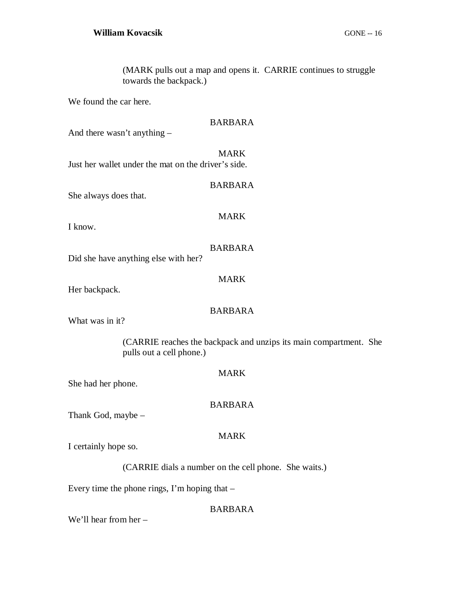(MARK pulls out a map and opens it. CARRIE continues to struggle towards the backpack.)

We found the car here.

| <b>BARBARA</b>                                                                                |  |  |
|-----------------------------------------------------------------------------------------------|--|--|
| And there wasn't anything -                                                                   |  |  |
| <b>MARK</b><br>Just her wallet under the mat on the driver's side.                            |  |  |
| <b>BARBARA</b><br>She always does that.                                                       |  |  |
| <b>MARK</b><br>I know.                                                                        |  |  |
| <b>BARBARA</b><br>Did she have anything else with her?                                        |  |  |
| <b>MARK</b><br>Her backpack.                                                                  |  |  |
| <b>BARBARA</b><br>What was in it?                                                             |  |  |
| (CARRIE reaches the backpack and unzips its main compartment. She<br>pulls out a cell phone.) |  |  |
| <b>MARK</b><br>She had her phone.                                                             |  |  |
| <b>BARBARA</b><br>Thank God, maybe -                                                          |  |  |
| <b>MARK</b><br>I certainly hope so.                                                           |  |  |
| (CARRIE dials a number on the cell phone. She waits.)                                         |  |  |
| Every time the phone rings, I'm hoping that $-$                                               |  |  |

BARBARA

We'll hear from her –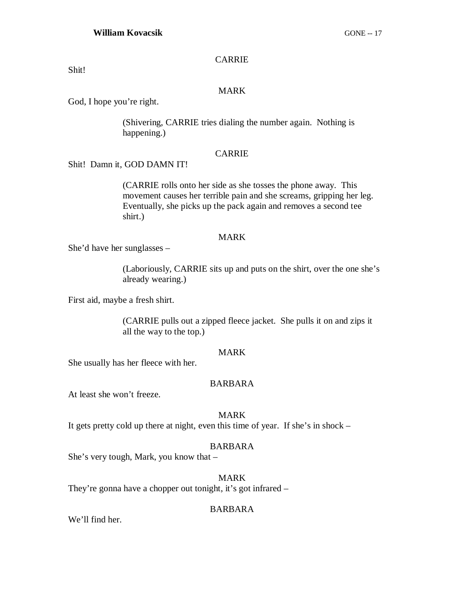#### CARRIE

Shit!

# MARK

God, I hope you're right.

(Shivering, CARRIE tries dialing the number again. Nothing is happening.)

#### CARRIE

# Shit! Damn it, GOD DAMN IT!

(CARRIE rolls onto her side as she tosses the phone away. This movement causes her terrible pain and she screams, gripping her leg. Eventually, she picks up the pack again and removes a second tee shirt.)

#### MARK

She'd have her sunglasses –

(Laboriously, CARRIE sits up and puts on the shirt, over the one she's already wearing.)

First aid, maybe a fresh shirt.

(CARRIE pulls out a zipped fleece jacket. She pulls it on and zips it all the way to the top.)

#### MARK

She usually has her fleece with her.

### BARBARA

At least she won't freeze.

#### MARK

It gets pretty cold up there at night, even this time of year. If she's in shock –

#### BARBARA

She's very tough, Mark, you know that –

# MARK

They're gonna have a chopper out tonight, it's got infrared –

# BARBARA

We'll find her.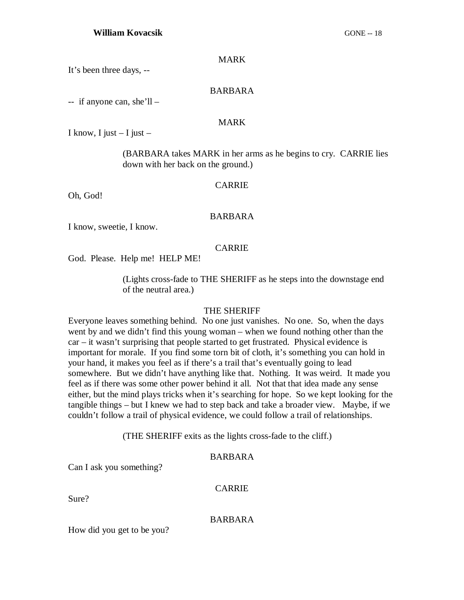#### MARK

It's been three days, --

#### BARBARA

 $-$  if anyone can, she'll –

#### MARK

I know, I just  $-$  I just  $-$ 

(BARBARA takes MARK in her arms as he begins to cry. CARRIE lies down with her back on the ground.)

#### CARRIE

Oh, God!

#### BARBARA

I know, sweetie, I know.

#### CARRIE

God. Please. Help me! HELP ME!

(Lights cross-fade to THE SHERIFF as he steps into the downstage end of the neutral area.)

#### THE SHERIFF

Everyone leaves something behind. No one just vanishes. No one. So, when the days went by and we didn't find this young woman – when we found nothing other than the car – it wasn't surprising that people started to get frustrated. Physical evidence is important for morale. If you find some torn bit of cloth, it's something you can hold in your hand, it makes you feel as if there's a trail that's eventually going to lead somewhere. But we didn't have anything like that. Nothing. It was weird. It made you feel as if there was some other power behind it all. Not that that idea made any sense either, but the mind plays tricks when it's searching for hope. So we kept looking for the tangible things – but I knew we had to step back and take a broader view. Maybe, if we couldn't follow a trail of physical evidence, we could follow a trail of relationships.

(THE SHERIFF exits as the lights cross-fade to the cliff.)

#### BARBARA

Can I ask you something?

#### CARRIE

Sure?

#### BARBARA

How did you get to be you?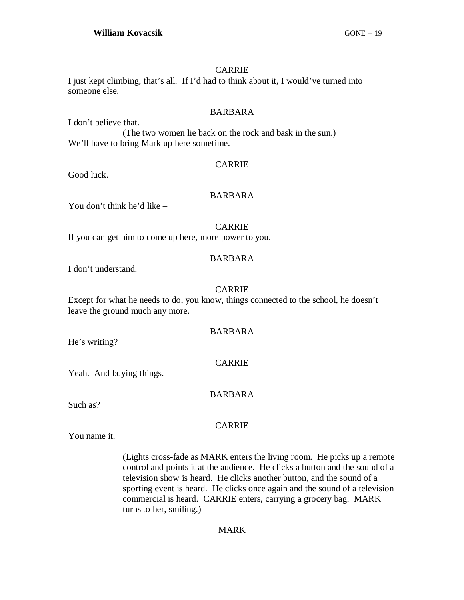#### CARRIE

# I just kept climbing, that's all. If I'd had to think about it, I would've turned into someone else.

#### BARBARA

I don't believe that. (The two women lie back on the rock and bask in the sun.) We'll have to bring Mark up here sometime.

#### CARRIE

Good luck.

#### BARBARA

You don't think he'd like –

#### CARRIE

If you can get him to come up here, more power to you.

#### BARBARA

I don't understand.

#### CARRIE

Except for what he needs to do, you know, things connected to the school, he doesn't leave the ground much any more.

#### BARBARA

CARRIE

He's writing?

Yeah. And buying things.

#### BARBARA

Such as?

# CARRIE

You name it.

(Lights cross-fade as MARK enters the living room. He picks up a remote control and points it at the audience. He clicks a button and the sound of a television show is heard. He clicks another button, and the sound of a sporting event is heard. He clicks once again and the sound of a television commercial is heard. CARRIE enters, carrying a grocery bag. MARK turns to her, smiling.)

#### MARK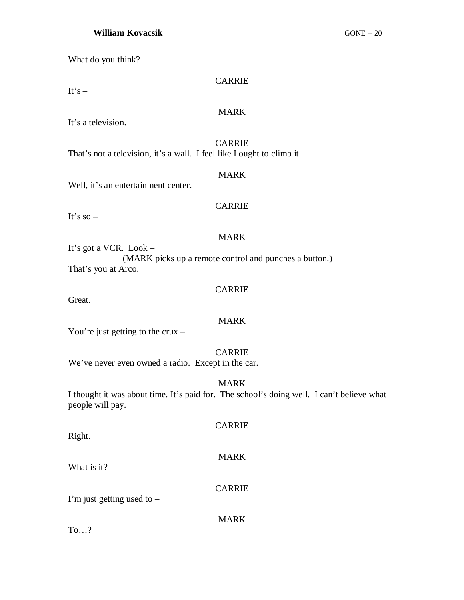#### **William Kovacsik** GONE -- 20

What do you think?

#### CARRIE

It's  $-$ 

#### MARK

It's a television.

# CARRIE

That's not a television, it's a wall. I feel like I ought to climb it.

# MARK

Well, it's an entertainment center.

# CARRIE

It's so  $-$ 

# MARK

It's got a VCR. Look – (MARK picks up a remote control and punches a button.) That's you at Arco.

# CARRIE

Great.

# MARK

You're just getting to the crux  $-$ 

# CARRIE

We've never even owned a radio. Except in the car.

# MARK

I thought it was about time. It's paid for. The school's doing well. I can't believe what people will pay.

# CARRIE Right. MARK What is it? CARRIE I'm just getting used to  $-$ MARK

To…?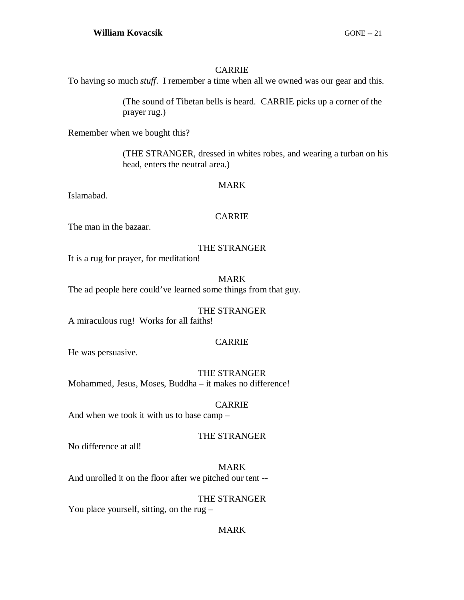## CARRIE

To having so much *stuff*. I remember a time when all we owned was our gear and this.

(The sound of Tibetan bells is heard. CARRIE picks up a corner of the prayer rug.)

Remember when we bought this?

(THE STRANGER, dressed in whites robes, and wearing a turban on his head, enters the neutral area.)

#### MARK

Islamabad.

# CARRIE

The man in the bazaar.

# THE STRANGER

It is a rug for prayer, for meditation!

#### MARK

The ad people here could've learned some things from that guy.

# THE STRANGER

A miraculous rug! Works for all faiths!

# CARRIE

He was persuasive.

# THE STRANGER Mohammed, Jesus, Moses, Buddha – it makes no difference!

#### CARRIE

And when we took it with us to base camp –

# THE STRANGER

No difference at all!

MARK And unrolled it on the floor after we pitched our tent --

#### THE STRANGER

You place yourself, sitting, on the rug –

# MARK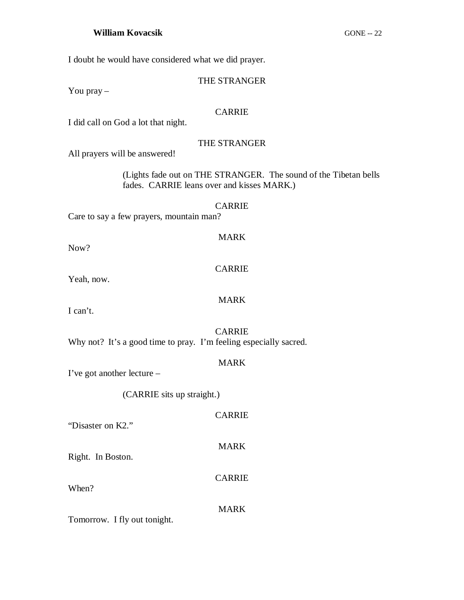I doubt he would have considered what we did prayer.

# THE STRANGER

You pray –

# CARRIE

I did call on God a lot that night.

# THE STRANGER

All prayers will be answered!

(Lights fade out on THE STRANGER. The sound of the Tibetan bells fades. CARRIE leans over and kisses MARK.)

#### CARRIE

Care to say a few prayers, mountain man?

Now?

# CARRIE

MARK

Yeah, now.

# MARK

I can't.

# CARRIE

Why not? It's a good time to pray. I'm feeling especially sacred.

# MARK

I've got another lecture –

(CARRIE sits up straight.)

# CARRIE

MARK

CARRIE

"Disaster on K2."

Right. In Boston.

When?

MARK

Tomorrow. I fly out tonight.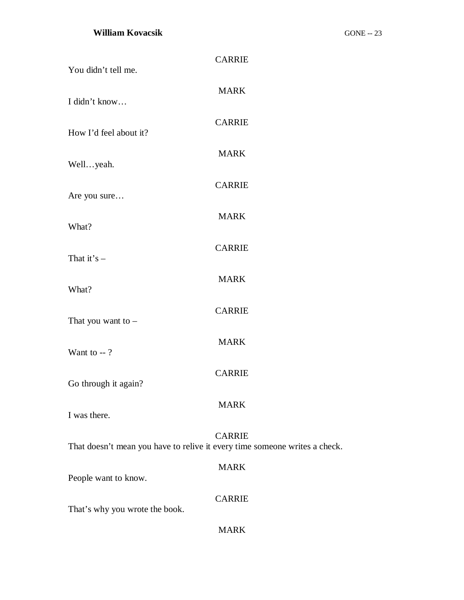# **William Kovacsik** GONE -- 23

| You didn't tell me.                                                        | <b>CARRIE</b> |
|----------------------------------------------------------------------------|---------------|
| I didn't know                                                              | <b>MARK</b>   |
| How I'd feel about it?                                                     | <b>CARRIE</b> |
| Wellyeah.                                                                  | <b>MARK</b>   |
| Are you sure                                                               | <b>CARRIE</b> |
| What?                                                                      | <b>MARK</b>   |
| That it's $-$                                                              | <b>CARRIE</b> |
| What?                                                                      | <b>MARK</b>   |
| That you want to $-$                                                       | <b>CARRIE</b> |
| Want to $-$ ?                                                              | <b>MARK</b>   |
| Go through it again?                                                       | <b>CARRIE</b> |
| I was there.                                                               | <b>MARK</b>   |
| That doesn't mean you have to relive it every time someone writes a check. | <b>CARRIE</b> |
| People want to know.                                                       | <b>MARK</b>   |
|                                                                            | <b>CARRIE</b> |
| That's why you wrote the book.                                             | <b>MARK</b>   |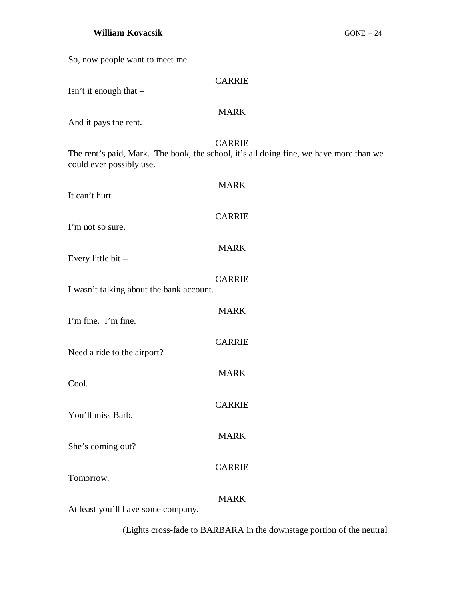# **William Kovacsik** GONE -- 24

So, now people want to meet me.

| <b>CARRIE</b><br>Isn't it enough that -                                                                                             |  |  |
|-------------------------------------------------------------------------------------------------------------------------------------|--|--|
| <b>MARK</b>                                                                                                                         |  |  |
| And it pays the rent.                                                                                                               |  |  |
| <b>CARRIE</b><br>The rent's paid, Mark. The book, the school, it's all doing fine, we have more than we<br>could ever possibly use. |  |  |
| <b>MARK</b><br>It can't hurt.                                                                                                       |  |  |
| <b>CARRIE</b><br>I'm not so sure.                                                                                                   |  |  |
| <b>MARK</b><br>Every little bit $-$                                                                                                 |  |  |
| <b>CARRIE</b><br>I wasn't talking about the bank account.                                                                           |  |  |
| <b>MARK</b><br>I'm fine. I'm fine.                                                                                                  |  |  |
| <b>CARRIE</b><br>Need a ride to the airport?                                                                                        |  |  |
| <b>MARK</b><br>Cool.                                                                                                                |  |  |
| <b>CARRIE</b><br>You'll miss Barb.                                                                                                  |  |  |
| <b>MARK</b><br>She's coming out?                                                                                                    |  |  |
| <b>CARRIE</b><br>Tomorrow.                                                                                                          |  |  |
| <b>MARK</b>                                                                                                                         |  |  |

At least you'll have some company.

(Lights cross-fade to BARBARA in the downstage portion of the neutral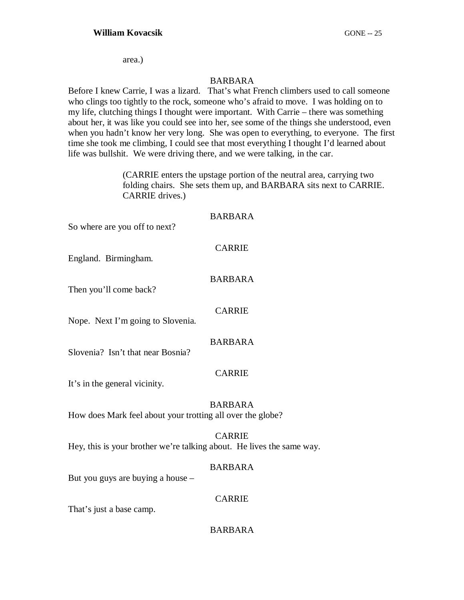area.)

#### BARBARA

Before I knew Carrie, I was a lizard. That's what French climbers used to call someone who clings too tightly to the rock, someone who's afraid to move. I was holding on to my life, clutching things I thought were important. With Carrie – there was something about her, it was like you could see into her, see some of the things she understood, even when you hadn't know her very long. She was open to everything, to everyone. The first time she took me climbing, I could see that most everything I thought I'd learned about life was bullshit. We were driving there, and we were talking, in the car.

> (CARRIE enters the upstage portion of the neutral area, carrying two folding chairs. She sets them up, and BARBARA sits next to CARRIE. CARRIE drives.)

#### BARBARA

So where are you off to next?

#### CARRIE

England. Birmingham.

#### BARBARA

Then you'll come back?

#### CARRIE

Nope. Next I'm going to Slovenia.

# BARBARA

Slovenia? Isn't that near Bosnia?

#### CARRIE

It's in the general vicinity.

# BARBARA

How does Mark feel about your trotting all over the globe?

#### CARRIE

Hey, this is your brother we're talking about. He lives the same way.

#### BARBARA

But you guys are buying a house –

#### CARRIE

That's just a base camp.

#### BARBARA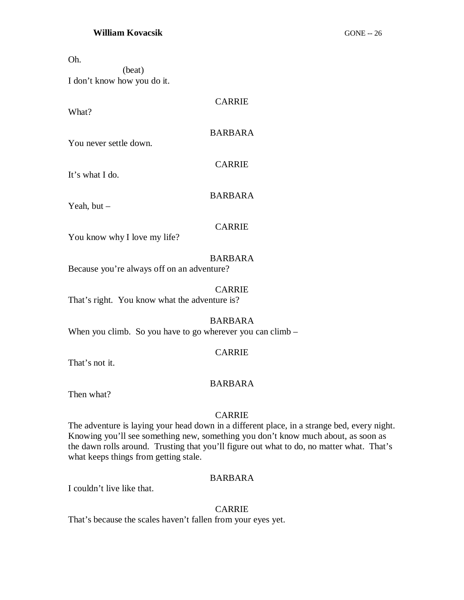Oh.

(beat) I don't know how you do it.

What?

**CARRIE** 

# BARBARA

You never settle down.

CARRIE

It's what I do.

Yeah, but –

BARBARA

#### CARRIE

You know why I love my life?

#### BARBARA

Because you're always off on an adventure?

#### CARRIE

That's right. You know what the adventure is?

#### BARBARA

When you climb. So you have to go wherever you can climb  $-$ 

#### CARRIE

That's not it.

#### BARBARA

Then what?

#### CARRIE

The adventure is laying your head down in a different place, in a strange bed, every night. Knowing you'll see something new, something you don't know much about, as soon as the dawn rolls around. Trusting that you'll figure out what to do, no matter what. That's what keeps things from getting stale.

#### BARBARA

I couldn't live like that.

#### CARRIE

That's because the scales haven't fallen from your eyes yet.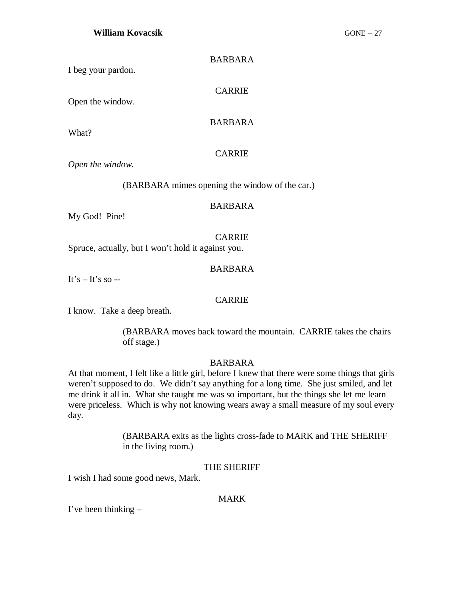| <b>BARBARA</b> |
|----------------|
|                |

I beg your pardon.

CARRIE

Open the window.

#### BARBARA

What?

# CARRIE

*Open the window.*

(BARBARA mimes opening the window of the car.)

#### BARBARA

My God! Pine!

#### CARRIE

Spruce, actually, but I won't hold it against you.

#### BARBARA

It's  $-$  It's so  $-$ 

# CARRIE

I know. Take a deep breath.

(BARBARA moves back toward the mountain. CARRIE takes the chairs off stage.)

# BARBARA

At that moment, I felt like a little girl, before I knew that there were some things that girls weren't supposed to do. We didn't say anything for a long time. She just smiled, and let me drink it all in. What she taught me was so important, but the things she let me learn were priceless. Which is why not knowing wears away a small measure of my soul every day.

> (BARBARA exits as the lights cross-fade to MARK and THE SHERIFF in the living room.)

#### THE SHERIFF

I wish I had some good news, Mark.

#### MARK

I've been thinking –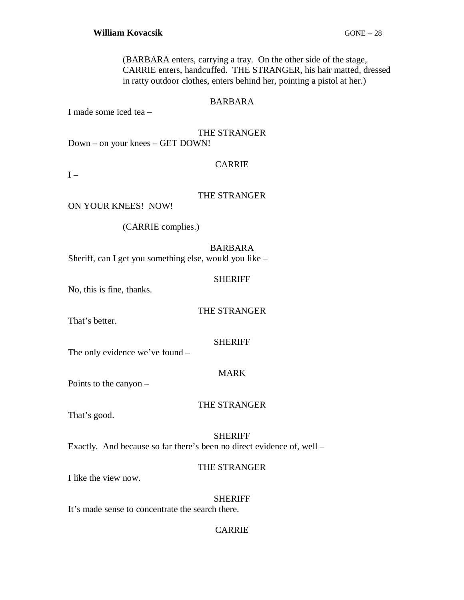(BARBARA enters, carrying a tray. On the other side of the stage, CARRIE enters, handcuffed. THE STRANGER, his hair matted, dressed in ratty outdoor clothes, enters behind her, pointing a pistol at her.)

#### BARBARA

I made some iced tea –

#### THE STRANGER

Down – on your knees – GET DOWN!

#### **CARRIE**

 $I -$ 

#### THE STRANGER

ON YOUR KNEES! NOW!

(CARRIE complies.)

## BARBARA

Sheriff, can I get you something else, would you like –

#### SHERIFF

No, this is fine, thanks.

#### THE STRANGER

That's better.

#### SHERIFF

The only evidence we've found –

#### MARK

Points to the canyon –

#### THE STRANGER

That's good.

#### SHERIFF

Exactly. And because so far there's been no direct evidence of, well –

#### THE STRANGER

I like the view now.

#### SHERIFF

It's made sense to concentrate the search there.

#### CARRIE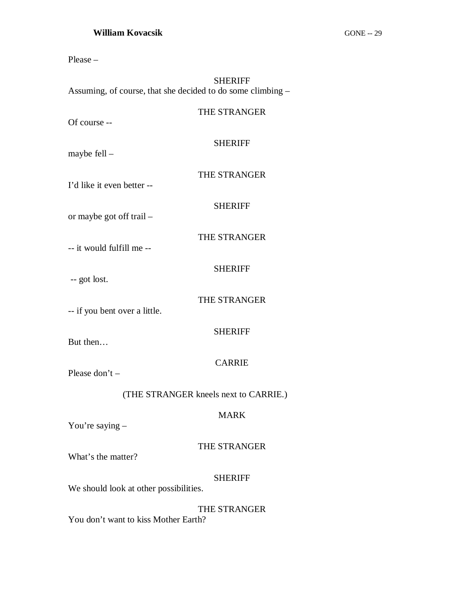| <b>SHERIFF</b><br>Assuming, of course, that she decided to do some climbing - |                |  |
|-------------------------------------------------------------------------------|----------------|--|
| Of course --                                                                  | THE STRANGER   |  |
| maybe fell $-$                                                                | <b>SHERIFF</b> |  |
| I'd like it even better --                                                    | THE STRANGER   |  |
| or maybe got off trail –                                                      | <b>SHERIFF</b> |  |
| -- it would fulfill me --                                                     | THE STRANGER   |  |
| -- got lost.                                                                  | <b>SHERIFF</b> |  |
| -- if you bent over a little.                                                 | THE STRANGER   |  |
| But then                                                                      | <b>SHERIFF</b> |  |
| Please don't $-$                                                              | <b>CARRIE</b>  |  |
| (THE STRANGER kneels next to CARRIE.)                                         |                |  |
| You're saying $-$                                                             | <b>MARK</b>    |  |
| What's the matter?                                                            | THE STRANGER   |  |
| We should look at other possibilities.                                        | <b>SHERIFF</b> |  |

# THE STRANGER

You don't want to kiss Mother Earth?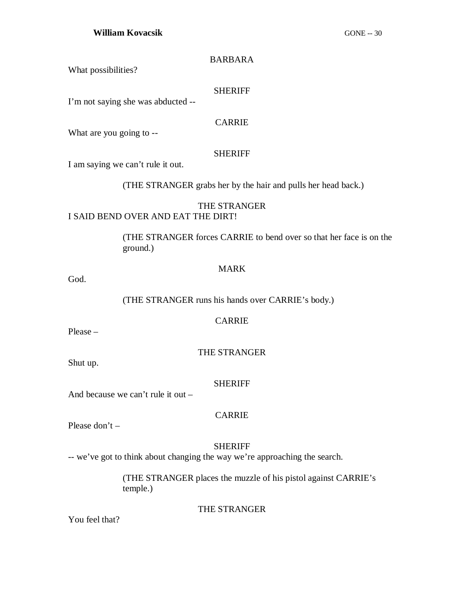#### BARBARA

What possibilities?

#### SHERIFF

I'm not saying she was abducted --

#### CARRIE

What are you going to --

#### SHERIFF

I am saying we can't rule it out.

(THE STRANGER grabs her by the hair and pulls her head back.)

#### THE STRANGER I SAID BEND OVER AND EAT THE DIRT!

(THE STRANGER forces CARRIE to bend over so that her face is on the ground.)

#### MARK

God.

(THE STRANGER runs his hands over CARRIE's body.)

# CARRIE

Please –

#### THE STRANGER

Shut up.

# SHERIFF

And because we can't rule it out –

#### CARRIE

Please don't –

# SHERIFF

-- we've got to think about changing the way we're approaching the search.

(THE STRANGER places the muzzle of his pistol against CARRIE's temple.)

# THE STRANGER

You feel that?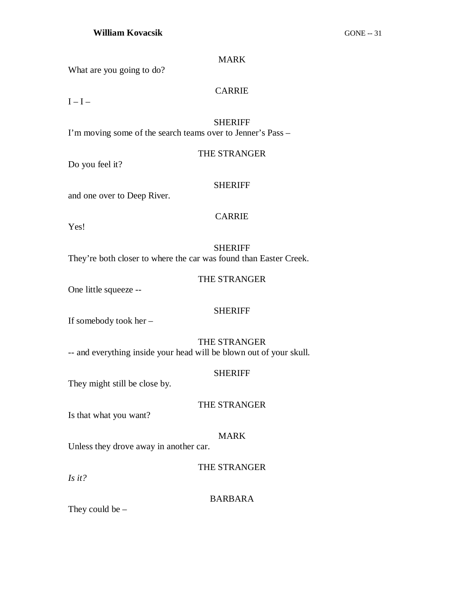#### MARK

What are you going to do?

## CARRIE

 $I-I$ 

# SHERIFF

I'm moving some of the search teams over to Jenner's Pass –

# THE STRANGER

Do you feel it?

# SHERIFF

and one over to Deep River.

# CARRIE

Yes!

# SHERIFF

They're both closer to where the car was found than Easter Creek.

# THE STRANGER

One little squeeze --

#### SHERIFF

If somebody took her –

# THE STRANGER

-- and everything inside your head will be blown out of your skull.

#### SHERIFF

They might still be close by.

#### THE STRANGER

Is that what you want?

# MARK

Unless they drove away in another car.

# THE STRANGER

*Is it?*

#### BARBARA

They could be  $-$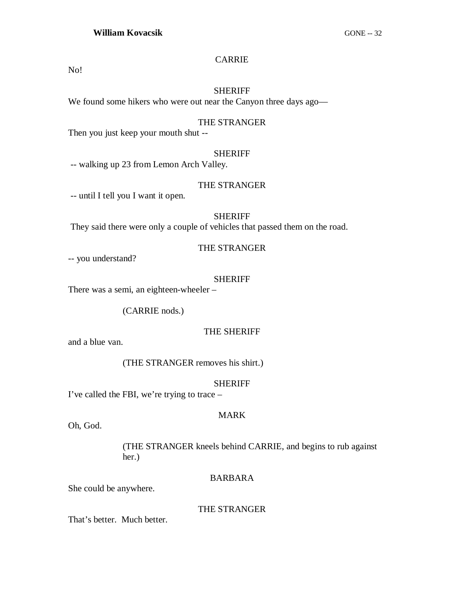# CARRIE

No!

#### SHERIFF

We found some hikers who were out near the Canyon three days ago—

#### THE STRANGER

Then you just keep your mouth shut --

#### SHERIFF

-- walking up 23 from Lemon Arch Valley.

#### THE STRANGER

-- until I tell you I want it open.

#### SHERIFF

They said there were only a couple of vehicles that passed them on the road.

#### THE STRANGER

-- you understand?

#### SHERIFF

There was a semi, an eighteen-wheeler –

(CARRIE nods.)

#### THE SHERIFF

and a blue van.

(THE STRANGER removes his shirt.)

#### SHERIFF

I've called the FBI, we're trying to trace –

#### MARK

Oh, God.

(THE STRANGER kneels behind CARRIE, and begins to rub against her.)

#### BARBARA

She could be anywhere.

#### THE STRANGER

That's better. Much better.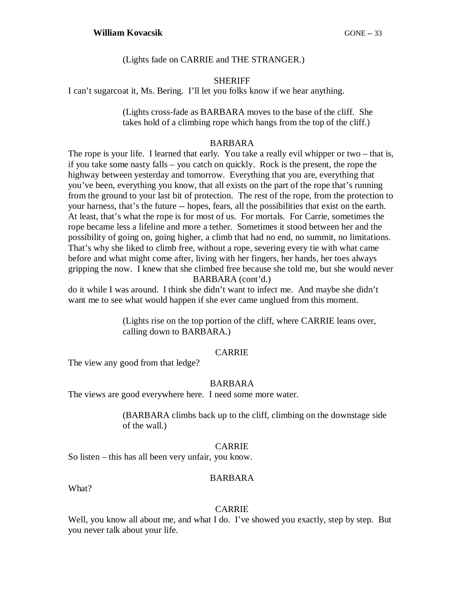(Lights fade on CARRIE and THE STRANGER.)

#### **SHERIFF**

I can't sugarcoat it, Ms. Bering. I'll let you folks know if we hear anything.

(Lights cross-fade as BARBARA moves to the base of the cliff. She takes hold of a climbing rope which hangs from the top of the cliff.)

#### BARBARA

The rope is your life. I learned that early. You take a really evil whipper or two – that is, if you take some nasty falls – you catch on quickly. Rock is the present, the rope the highway between yesterday and tomorrow. Everything that you are, everything that you've been, everything you know, that all exists on the part of the rope that's running from the ground to your last bit of protection. The rest of the rope, from the protection to your harness, that's the future -- hopes, fears, all the possibilities that exist on the earth. At least, that's what the rope is for most of us. For mortals. For Carrie, sometimes the rope became less a lifeline and more a tether. Sometimes it stood between her and the possibility of going on, going higher, a climb that had no end, no summit, no limitations. That's why she liked to climb free, without a rope, severing every tie with what came before and what might come after, living with her fingers, her hands, her toes always gripping the now. I knew that she climbed free because she told me, but she would never BARBARA (cont'd.)

do it while I was around. I think she didn't want to infect me. And maybe she didn't want me to see what would happen if she ever came unglued from this moment.

> (Lights rise on the top portion of the cliff, where CARRIE leans over, calling down to BARBARA.)

# CARRIE

The view any good from that ledge?

#### BARBARA

The views are good everywhere here. I need some more water.

(BARBARA climbs back up to the cliff, climbing on the downstage side of the wall.)

# CARRIE

So listen – this has all been very unfair, you know.

#### BARBARA

What?

#### CARRIE

Well, you know all about me, and what I do. I've showed you exactly, step by step. But you never talk about your life.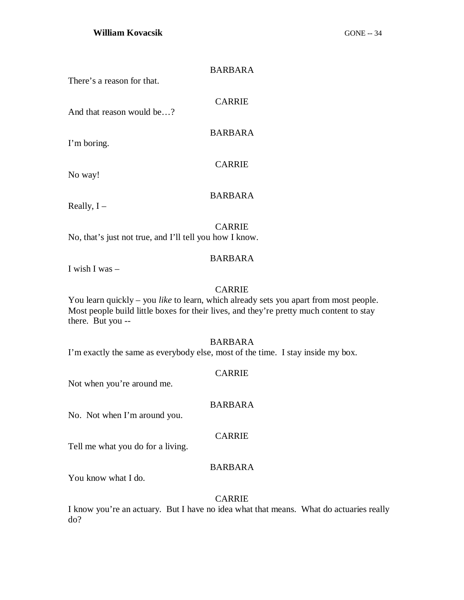#### BARBARA

There's a reason for that.

CARRIE

BARBARA

CARRIE

And that reason would be…?

I'm boring.

No way!

Really,  $I -$ 

# BARBARA

CARRIE

No, that's just not true, and I'll tell you how I know.

#### BARBARA

I wish I was –

#### CARRIE

You learn quickly – you *like* to learn, which already sets you apart from most people. Most people build little boxes for their lives, and they're pretty much content to stay there. But you --

#### BARBARA

I'm exactly the same as everybody else, most of the time. I stay inside my box.

#### CARRIE

BARBARA

Not when you're around me.

No. Not when I'm around you.

#### CARRIE

Tell me what you do for a living.

#### BARBARA

You know what I do.

#### CARRIE

I know you're an actuary. But I have no idea what that means. What do actuaries really do?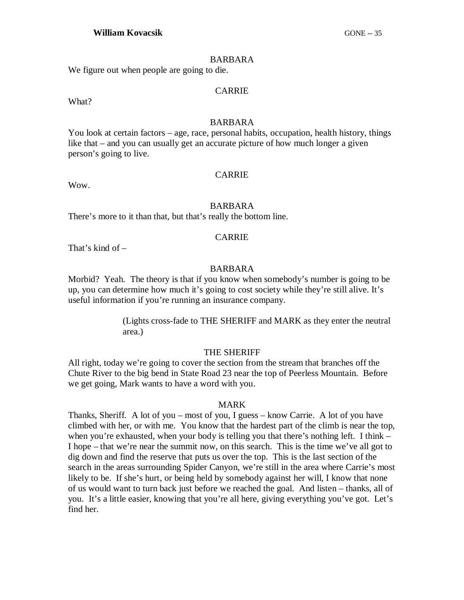#### BARBARA

We figure out when people are going to die.

#### CARRIE

What?

#### BARBARA

You look at certain factors – age, race, personal habits, occupation, health history, things like that – and you can usually get an accurate picture of how much longer a given person's going to live.

#### CARRIE

Wow.

#### BARBARA

There's more to it than that, but that's really the bottom line.

#### CARRIE

That's kind of –

#### BARBARA

Morbid? Yeah. The theory is that if you know when somebody's number is going to be up, you can determine how much it's going to cost society while they're still alive. It's useful information if you're running an insurance company.

> (Lights cross-fade to THE SHERIFF and MARK as they enter the neutral area.)

#### THE SHERIFF

All right, today we're going to cover the section from the stream that branches off the Chute River to the big bend in State Road 23 near the top of Peerless Mountain. Before we get going, Mark wants to have a word with you.

#### MARK

Thanks, Sheriff. A lot of you – most of you, I guess – know Carrie. A lot of you have climbed with her, or with me. You know that the hardest part of the climb is near the top, when you're exhausted, when your body is telling you that there's nothing left. I think – I hope – that we're near the summit now, on this search. This is the time we've all got to dig down and find the reserve that puts us over the top. This is the last section of the search in the areas surrounding Spider Canyon, we're still in the area where Carrie's most likely to be. If she's hurt, or being held by somebody against her will, I know that none of us would want to turn back just before we reached the goal. And listen – thanks, all of you. It's a little easier, knowing that you're all here, giving everything you've got. Let's find her.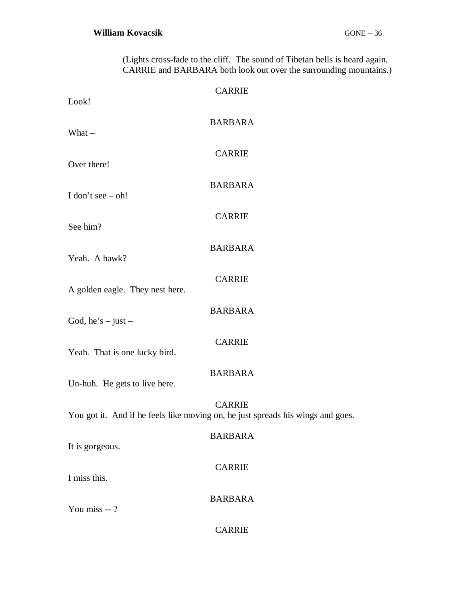(Lights cross-fade to the cliff. The sound of Tibetan bells is heard again. CARRIE and BARBARA both look out over the surrounding mountains.)

| Look!                           | <b>CARRIE</b>                                                                                    |
|---------------------------------|--------------------------------------------------------------------------------------------------|
| What $-$                        | <b>BARBARA</b>                                                                                   |
| Over there!                     | <b>CARRIE</b>                                                                                    |
| I don't see $-$ oh!             | <b>BARBARA</b>                                                                                   |
| See him?                        | <b>CARRIE</b>                                                                                    |
| Yeah. A hawk?                   | <b>BARBARA</b>                                                                                   |
|                                 | <b>CARRIE</b>                                                                                    |
| A golden eagle. They nest here. | <b>BARBARA</b>                                                                                   |
| God, he's $-$ just $-$          |                                                                                                  |
| Yeah. That is one lucky bird.   | <b>CARRIE</b>                                                                                    |
| Un-huh. He gets to live here.   | <b>BARBARA</b>                                                                                   |
|                                 | <b>CARRIE</b><br>You got it. And if he feels like moving on, he just spreads his wings and goes. |
| It is gorgeous.                 | <b>BARBARA</b>                                                                                   |
| I miss this.                    | <b>CARRIE</b>                                                                                    |
| You miss --?                    | <b>BARBARA</b>                                                                                   |
|                                 | <b>CARRIE</b>                                                                                    |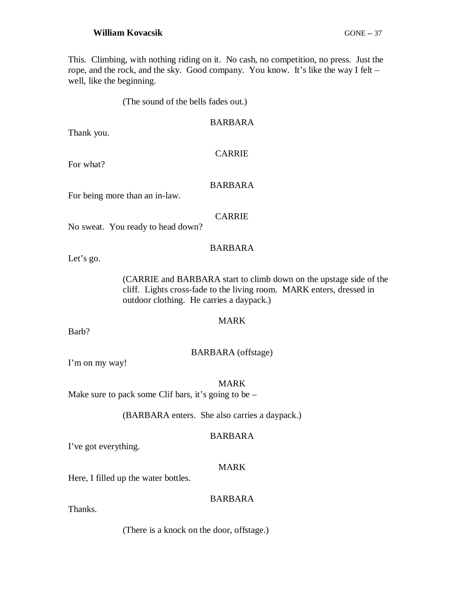This. Climbing, with nothing riding on it. No cash, no competition, no press. Just the rope, and the rock, and the sky. Good company. You know. It's like the way I felt – well, like the beginning.

(The sound of the bells fades out.)

### BARBARA

Thank you.

### CARRIE

For what?

### BARBARA

For being more than an in-law.

### CARRIE

No sweat. You ready to head down?

# BARBARA

Let's go.

(CARRIE and BARBARA start to climb down on the upstage side of the cliff. Lights cross-fade to the living room. MARK enters, dressed in outdoor clothing. He carries a daypack.)

# MARK

Barb?

### BARBARA (offstage)

I'm on my way!

MARK

Make sure to pack some Clif bars, it's going to be  $-$ 

(BARBARA enters. She also carries a daypack.)

### BARBARA

I've got everything.

### MARK

Here, I filled up the water bottles.

### BARBARA

Thanks.

(There is a knock on the door, offstage.)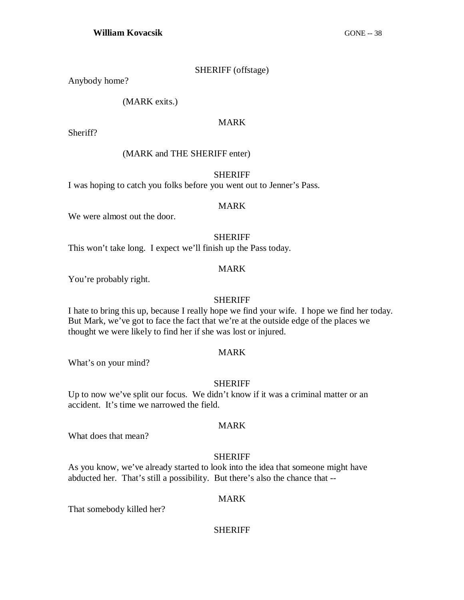### SHERIFF (offstage)

Anybody home?

(MARK exits.)

### MARK

Sheriff?

# (MARK and THE SHERIFF enter)

SHERIFF

I was hoping to catch you folks before you went out to Jenner's Pass.

### MARK

We were almost out the door.

### SHERIFF

This won't take long. I expect we'll finish up the Pass today.

### MARK

You're probably right.

### SHERIFF

I hate to bring this up, because I really hope we find your wife. I hope we find her today. But Mark, we've got to face the fact that we're at the outside edge of the places we thought we were likely to find her if she was lost or injured.

### MARK

What's on your mind?

### SHERIFF

Up to now we've split our focus. We didn't know if it was a criminal matter or an accident. It's time we narrowed the field.

### MARK

What does that mean?

### SHERIFF

As you know, we've already started to look into the idea that someone might have abducted her. That's still a possibility. But there's also the chance that --

### MARK

That somebody killed her?

### SHERIFF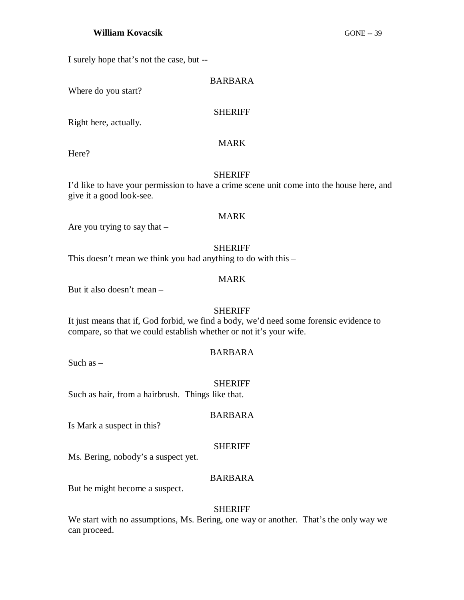I surely hope that's not the case, but --

### BARBARA

Where do you start?

### SHERIFF

MARK

Right here, actually.

Here?

### SHERIFF

I'd like to have your permission to have a crime scene unit come into the house here, and give it a good look-see.

### MARK

Are you trying to say that  $-$ 

SHERIFF

This doesn't mean we think you had anything to do with this –

### MARK

But it also doesn't mean –

# SHERIFF

It just means that if, God forbid, we find a body, we'd need some forensic evidence to compare, so that we could establish whether or not it's your wife.

### BARBARA

Such as  $-$ 

### SHERIFF

Such as hair, from a hairbrush. Things like that.

### BARBARA

Is Mark a suspect in this?

### SHERIFF

Ms. Bering, nobody's a suspect yet.

### BARBARA

But he might become a suspect.

### **SHERIFF**

We start with no assumptions, Ms. Bering, one way or another. That's the only way we can proceed.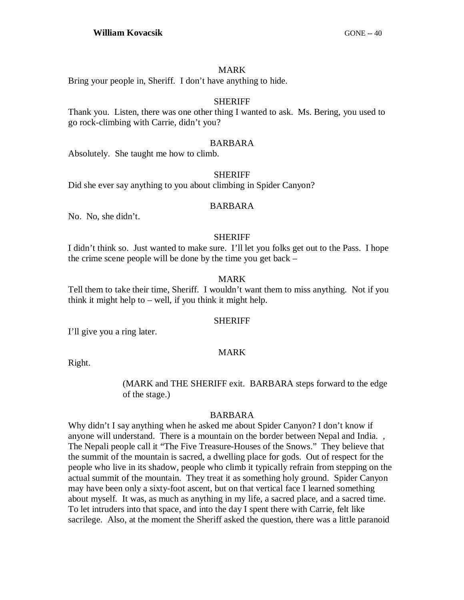### MARK

Bring your people in, Sheriff. I don't have anything to hide.

### **SHERIFF**

Thank you. Listen, there was one other thing I wanted to ask. Ms. Bering, you used to go rock-climbing with Carrie, didn't you?

### BARBARA

Absolutely. She taught me how to climb.

### SHERIFF

Did she ever say anything to you about climbing in Spider Canyon?

### BARBARA

No. No, she didn't.

### SHERIFF

I didn't think so. Just wanted to make sure. I'll let you folks get out to the Pass. I hope the crime scene people will be done by the time you get back –

# MARK

Tell them to take their time, Sheriff. I wouldn't want them to miss anything. Not if you think it might help to – well, if you think it might help.

### SHERIFF

I'll give you a ring later.

### MARK

Right.

### (MARK and THE SHERIFF exit. BARBARA steps forward to the edge of the stage.)

### BARBARA

Why didn't I say anything when he asked me about Spider Canyon? I don't know if anyone will understand. There is a mountain on the border between Nepal and India. , The Nepali people call it "The Five Treasure-Houses of the Snows." They believe that the summit of the mountain is sacred, a dwelling place for gods. Out of respect for the people who live in its shadow, people who climb it typically refrain from stepping on the actual summit of the mountain. They treat it as something holy ground. Spider Canyon may have been only a sixty-foot ascent, but on that vertical face I learned something about myself. It was, as much as anything in my life, a sacred place, and a sacred time. To let intruders into that space, and into the day I spent there with Carrie, felt like sacrilege. Also, at the moment the Sheriff asked the question, there was a little paranoid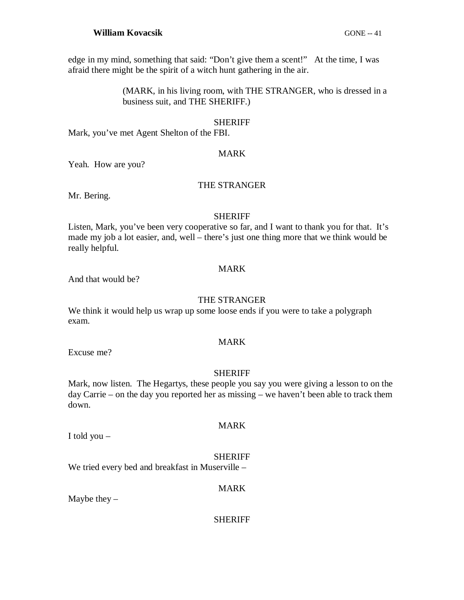edge in my mind, something that said: "Don't give them a scent!" At the time, I was afraid there might be the spirit of a witch hunt gathering in the air.

> (MARK, in his living room, with THE STRANGER, who is dressed in a business suit, and THE SHERIFF.)

### SHERIFF

Mark, you've met Agent Shelton of the FBI.

### MARK

Yeah. How are you?

### THE STRANGER

Mr. Bering.

### SHERIFF

Listen, Mark, you've been very cooperative so far, and I want to thank you for that. It's made my job a lot easier, and, well – there's just one thing more that we think would be really helpful.

### MARK

And that would be?

### THE STRANGER

We think it would help us wrap up some loose ends if you were to take a polygraph exam.

### MARK

Excuse me?

### **SHERIFF**

Mark, now listen. The Hegartys, these people you say you were giving a lesson to on the day Carrie – on the day you reported her as missing – we haven't been able to track them down.

I told you –

# SHERIFF

MARK

We tried every bed and breakfast in Muserville –

### MARK

Maybe they  $-$ 

### SHERIFF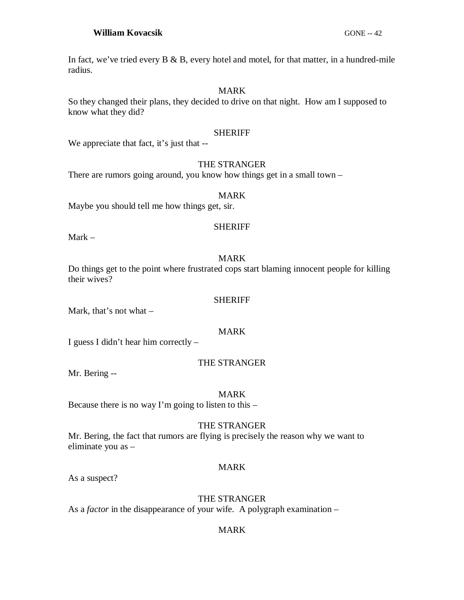In fact, we've tried every  $B \& B$ , every hotel and motel, for that matter, in a hundred-mile radius.

### MARK

So they changed their plans, they decided to drive on that night. How am I supposed to know what they did?

# SHERIFF

We appreciate that fact, it's just that --

# THE STRANGER

There are rumors going around, you know how things get in a small town –

### MARK

Maybe you should tell me how things get, sir.

# SHERIFF

Mark –

# MARK

Do things get to the point where frustrated cops start blaming innocent people for killing their wives?

### **SHERIFF**

Mark, that's not what –

### MARK

I guess I didn't hear him correctly –

# THE STRANGER

Mr. Bering --

### MARK

Because there is no way I'm going to listen to this –

# THE STRANGER

Mr. Bering, the fact that rumors are flying is precisely the reason why we want to eliminate you as –

# MARK

As a suspect?

# THE STRANGER

As a *factor* in the disappearance of your wife. A polygraph examination –

# MARK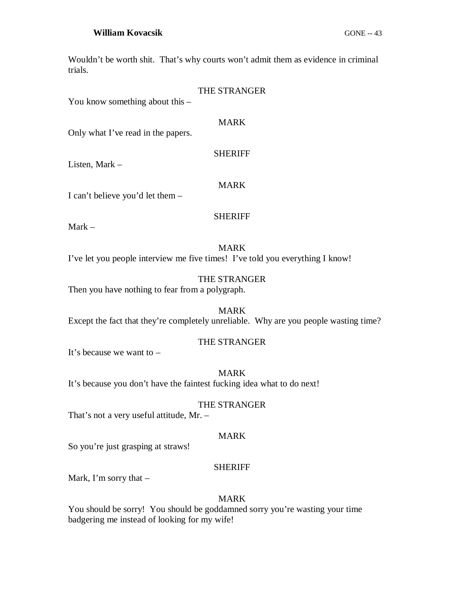Wouldn't be worth shit. That's why courts won't admit them as evidence in criminal trials.

| You know something about this $-$               | <b>THE STRANGER</b>                                                                          |
|-------------------------------------------------|----------------------------------------------------------------------------------------------|
| Only what I've read in the papers.              | <b>MARK</b>                                                                                  |
| Listen, Mark $-$                                | <b>SHERIFF</b>                                                                               |
| I can't believe you'd let them $-$              | <b>MARK</b>                                                                                  |
| $Mark -$                                        | <b>SHERIFF</b>                                                                               |
|                                                 | <b>MARK</b><br>I've let you people interview me five times! I've told you everything I know! |
| Then you have nothing to fear from a polygraph. | THE STRANGER                                                                                 |

MARK Except the fact that they're completely unreliable. Why are you people wasting time?

# THE STRANGER

It's because we want to –

### MARK

It's because you don't have the faintest fucking idea what to do next!

### THE STRANGER

That's not a very useful attitude, Mr. –

### MARK

So you're just grasping at straws!

# SHERIFF

Mark, I'm sorry that –

### MARK

You should be sorry! You should be goddamned sorry you're wasting your time badgering me instead of looking for my wife!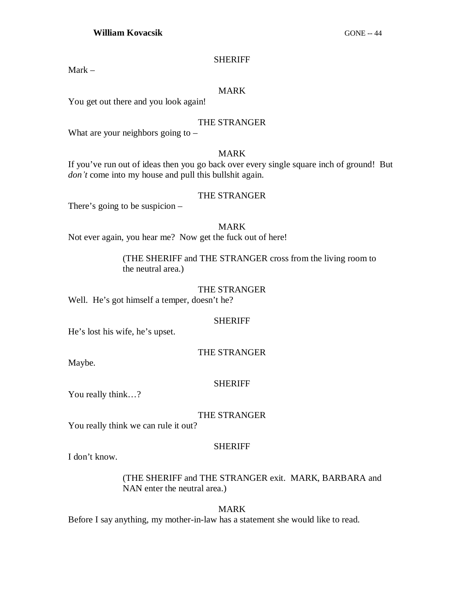### **SHERIFF**

Mark –

# MARK

You get out there and you look again!

# THE STRANGER

What are your neighbors going to  $-$ 

# MARK

If you've run out of ideas then you go back over every single square inch of ground! But *don't* come into my house and pull this bullshit again.

# THE STRANGER

There's going to be suspicion –

# MARK

Not ever again, you hear me? Now get the fuck out of here!

(THE SHERIFF and THE STRANGER cross from the living room to the neutral area.)

### THE STRANGER

Well. He's got himself a temper, doesn't he?

### SHERIFF

He's lost his wife, he's upset.

### THE STRANGER

Maybe.

# SHERIFF

You really think…?

### THE STRANGER

You really think we can rule it out?

### SHERIFF

I don't know.

# (THE SHERIFF and THE STRANGER exit. MARK, BARBARA and NAN enter the neutral area.)

# MARK

Before I say anything, my mother-in-law has a statement she would like to read.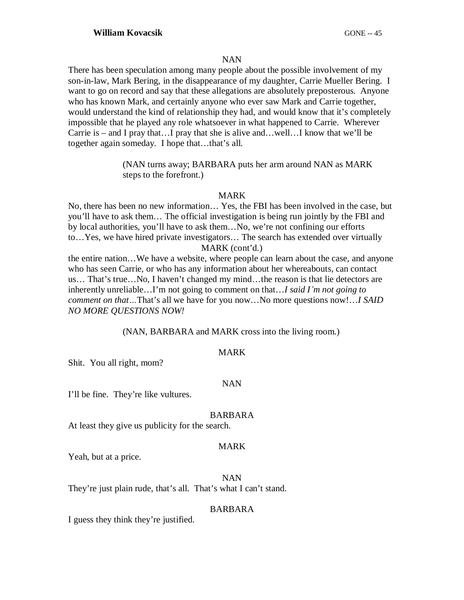### NAN

There has been speculation among many people about the possible involvement of my son-in-law, Mark Bering, in the disappearance of my daughter, Carrie Mueller Bering. I want to go on record and say that these allegations are absolutely preposterous. Anyone who has known Mark, and certainly anyone who ever saw Mark and Carrie together, would understand the kind of relationship they had, and would know that it's completely impossible that he played any role whatsoever in what happened to Carrie. Wherever Carrie is – and I pray that…I pray that she is alive and…well…I know that we'll be together again someday. I hope that…that's all.

> (NAN turns away; BARBARA puts her arm around NAN as MARK steps to the forefront.)

### MARK

No, there has been no new information… Yes, the FBI has been involved in the case, but you'll have to ask them… The official investigation is being run jointly by the FBI and by local authorities, you'll have to ask them…No, we're not confining our efforts to…Yes, we have hired private investigators… The search has extended over virtually MARK (cont'd.)

the entire nation…We have a website, where people can learn about the case, and anyone who has seen Carrie, or who has any information about her whereabouts, can contact us… That's true…No, I haven't changed my mind…the reason is that lie detectors are inherently unreliable…I'm not going to comment on that…*I said I¶m not going to comment on that* ... That's all we have for you now... No more questions now!...*I SAID NO MORE QUESTIONS NOW!*

(NAN, BARBARA and MARK cross into the living room.)

### MARK

Shit. You all right, mom?

### NAN

I'll be fine. They're like vultures.

### BARBARA

At least they give us publicity for the search.

### MARK

Yeah, but at a price.

NAN

They're just plain rude, that's all. That's what I can't stand.

### BARBARA

I guess they think they're justified.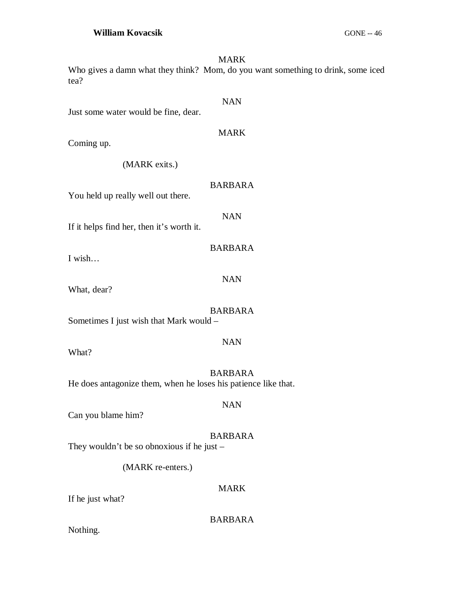### MARK

Who gives a damn what they think? Mom, do you want something to drink, some iced tea?

Just some water would be fine, dear.

### MARK

NAN

Coming up.

(MARK exits.)

# BARBARA

NAN

BARBARA

NAN

You held up really well out there.

If it helps find her, then it's worth it.

I wish…

What, dear?

# BARBARA

NAN

Sometimes I just wish that Mark would –

What?

BARBARA He does antagonize them, when he loses his patience like that.

Can you blame him?

# BARBARA

NAN

They wouldn't be so obnoxious if he just –

(MARK re-enters.)

# MARK

If he just what?

BARBARA

Nothing.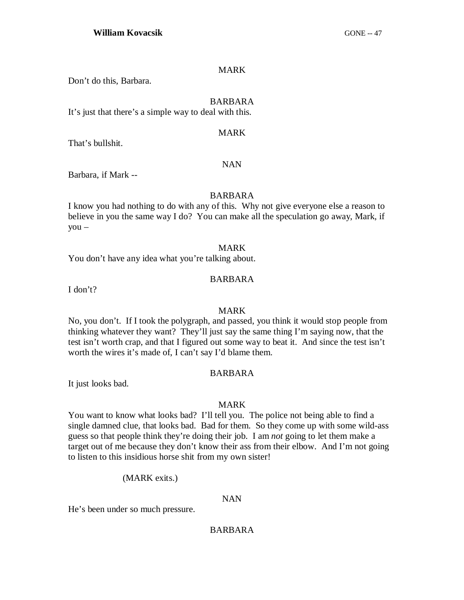### MARK

Don't do this, Barbara.

### BARBARA

It's just that there's a simple way to deal with this.

### MARK

NAN

That's bullshit.

# Barbara, if Mark --

### BARBARA

I know you had nothing to do with any of this. Why not give everyone else a reason to believe in you the same way I do? You can make all the speculation go away, Mark, if you –

### MARK

You don't have any idea what you're talking about.

# BARBARA

I don't?

### MARK

No, you don't. If I took the polygraph, and passed, you think it would stop people from thinking whatever they want? They'll just say the same thing I'm saying now, that the test isn't worth crap, and that I figured out some way to beat it. And since the test isn't worth the wires it's made of, I can't say I'd blame them.

### BARBARA

It just looks bad.

### MARK

You want to know what looks bad? I'll tell you. The police not being able to find a single damned clue, that looks bad. Bad for them. So they come up with some wild-ass guess so that people think they're doing their job. I am *not* going to let them make a target out of me because they don't know their ass from their elbow. And I'm not going to listen to this insidious horse shit from my own sister!

### (MARK exits.)

### NAN

He's been under so much pressure.

# BARBARA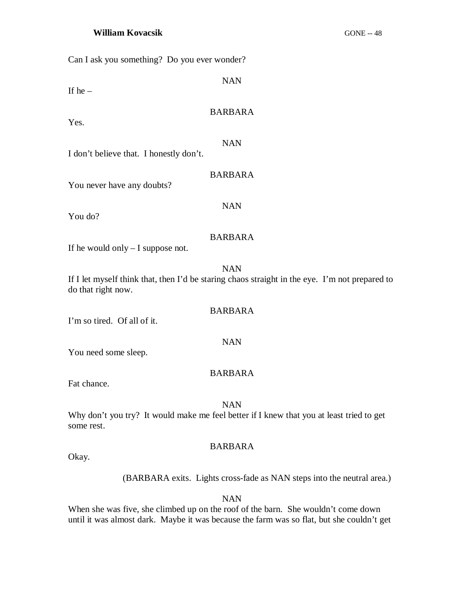Can I ask you something? Do you ever wonder?

| If he $-$                               | <b>NAN</b>                                                                                                   |
|-----------------------------------------|--------------------------------------------------------------------------------------------------------------|
| Yes.                                    | <b>BARBARA</b>                                                                                               |
| I don't believe that. I honestly don't. | <b>NAN</b>                                                                                                   |
| You never have any doubts?              | <b>BARBARA</b>                                                                                               |
| You do?                                 | <b>NAN</b>                                                                                                   |
| If he would only $-$ I suppose not.     | <b>BARBARA</b>                                                                                               |
| do that right now.                      | <b>NAN</b><br>If I let myself think that, then I'd be staring chaos straight in the eye. I'm not prepared to |
| I'm so tired. Of all of it.             | <b>BARBARA</b>                                                                                               |
| You need some sleep.                    | <b>NAN</b>                                                                                                   |
| Fat chance.                             | <b>BARBARA</b>                                                                                               |
| some rest.                              | <b>NAN</b><br>Why don't you try? It would make me feel better if I knew that you at least tried to get       |
|                                         | <b>BARBARA</b>                                                                                               |

Okay.

(BARBARA exits. Lights cross-fade as NAN steps into the neutral area.)

NAN

When she was five, she climbed up on the roof of the barn. She wouldn't come down until it was almost dark. Maybe it was because the farm was so flat, but she couldn't get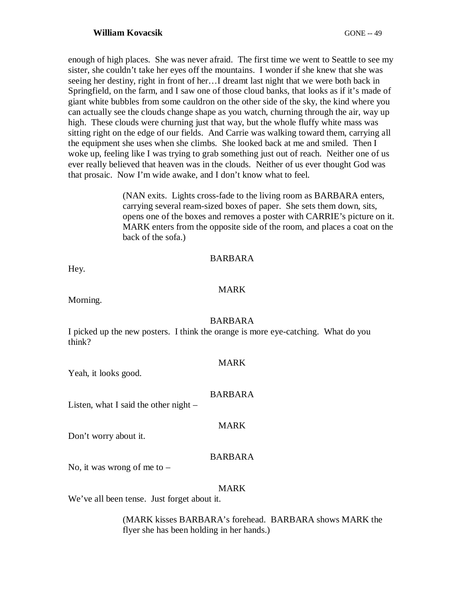enough of high places. She was never afraid. The first time we went to Seattle to see my sister, she couldn't take her eyes off the mountains. I wonder if she knew that she was seeing her destiny, right in front of her…I dreamt last night that we were both back in Springfield, on the farm, and I saw one of those cloud banks, that looks as if it's made of giant white bubbles from some cauldron on the other side of the sky, the kind where you can actually see the clouds change shape as you watch, churning through the air, way up high. These clouds were churning just that way, but the whole fluffy white mass was sitting right on the edge of our fields. And Carrie was walking toward them, carrying all the equipment she uses when she climbs. She looked back at me and smiled. Then I woke up, feeling like I was trying to grab something just out of reach. Neither one of us ever really believed that heaven was in the clouds. Neither of us ever thought God was that prosaic. Now I'm wide awake, and I don't know what to feel.

> (NAN exits. Lights cross-fade to the living room as BARBARA enters, carrying several ream-sized boxes of paper. She sets them down, sits, opens one of the boxes and removes a poster with CARRIE's picture on it. MARK enters from the opposite side of the room, and places a coat on the back of the sofa.)

### BARBARA

Hey.

# MARK

Morning.

### BARBARA

I picked up the new posters. I think the orange is more eye-catching. What do you think?

### MARK

Yeah, it looks good.

# BARBARA

MARK

Listen, what I said the other night –

Don't worry about it.

# BARBARA

No, it was wrong of me to  $-$ 

# MARK

We've all been tense. Just forget about it.

(MARK kisses BARBARA's forehead. BARBARA shows MARK the flyer she has been holding in her hands.)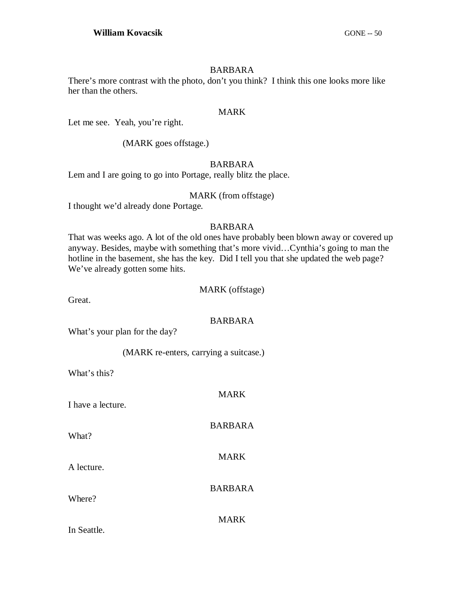### BARBARA

There's more contrast with the photo, don't you think? I think this one looks more like her than the others.

### MARK

Let me see. Yeah, you're right.

(MARK goes offstage.)

# BARBARA

Lem and I are going to go into Portage, really blitz the place.

### MARK (from offstage)

I thought we'd already done Portage.

# BARBARA

That was weeks ago. A lot of the old ones have probably been blown away or covered up anyway. Besides, maybe with something that's more vivid…Cynthia's going to man the hotline in the basement, she has the key. Did I tell you that she updated the web page? We've already gotten some hits.

### MARK (offstage)

Great.

# BARBARA

What's your plan for the day?

(MARK re-enters, carrying a suitcase.)

What's this?

| I have a lecture. | <b>MARK</b>    |
|-------------------|----------------|
| What?             | <b>BARBARA</b> |
| A lecture.        | <b>MARK</b>    |
| Where?            | <b>BARBARA</b> |
| In Seattle.       | <b>MARK</b>    |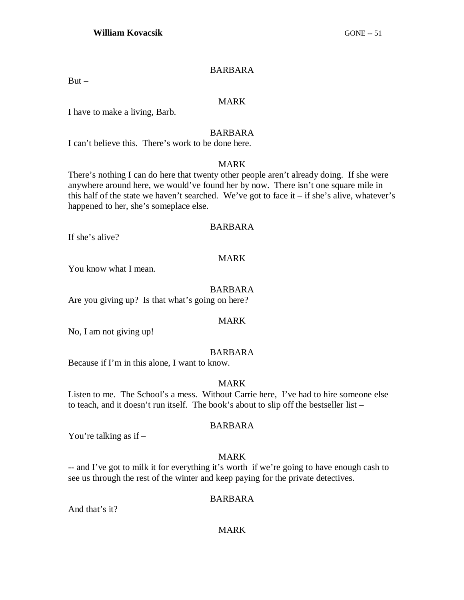### BARBARA

 $But -$ 

### MARK

I have to make a living, Barb.

### BARBARA

I can't believe this. There's work to be done here.

### MARK

There's nothing I can do here that twenty other people aren't already doing. If she were anywhere around here, we would've found her by now. There isn't one square mile in this half of the state we haven't searched. We've got to face it  $-$  if she's alive, whatever's happened to her, she's someplace else.

### BARBARA

If she's alive?

### MARK

You know what I mean.

### BARBARA

Are you giving up? Is that what's going on here?

### MARK

No, I am not giving up!

### BARBARA

Because if I'm in this alone, I want to know.

### MARK

Listen to me. The School's a mess. Without Carrie here, I've had to hire someone else to teach, and it doesn't run itself. The book's about to slip off the bestseller list –

### BARBARA

You're talking as if  $-$ 

### MARK

-- and I've got to milk it for everything it's worth if we're going to have enough cash to see us through the rest of the winter and keep paying for the private detectives.

### BARBARA

And that's it?

### MARK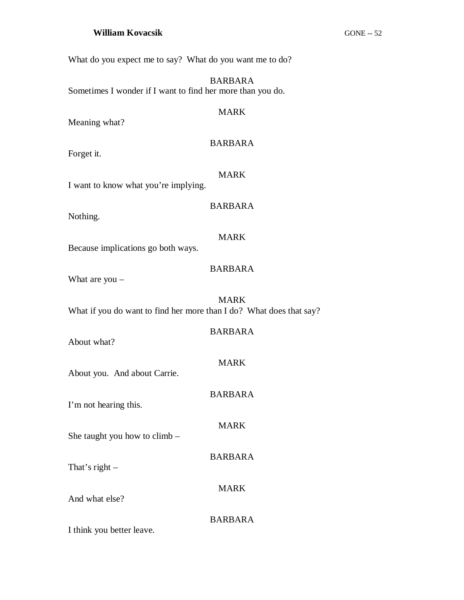What do you expect me to say? What do you want me to do?

BARBARA Sometimes I wonder if I want to find her more than you do.

# Meaning what?

# BARBARA

MARK

Forget it.

MARK

BARBARA

I want to know what you're implying.

Nothing.

MARK

Because implications go both ways.

# BARBARA

What are you –

MARK What if you do want to find her more than I do? What does that say?

| About what?                     | <b>BARBARA</b> |
|---------------------------------|----------------|
| About you. And about Carrie.    | <b>MARK</b>    |
| I'm not hearing this.           | <b>BARBARA</b> |
|                                 | MARK           |
| She taught you how to climb $-$ | <b>BARBARA</b> |
| That's right $-$                |                |
| And what else?                  | <b>MARK</b>    |
| I think you better leave.       | BARBARA        |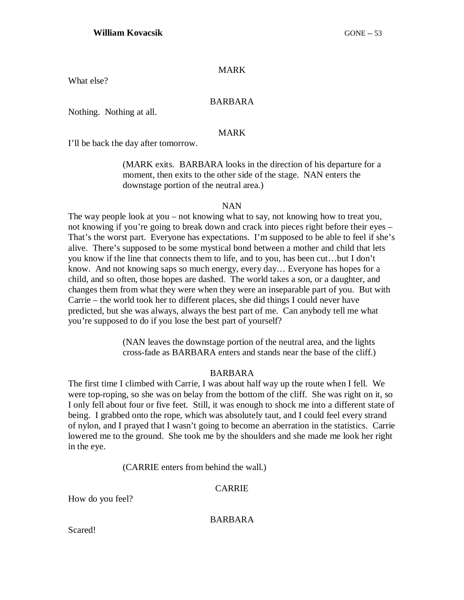### MARK

What else?

### BARBARA

Nothing. Nothing at all.

### MARK

I'll be back the day after tomorrow.

(MARK exits. BARBARA looks in the direction of his departure for a moment, then exits to the other side of the stage. NAN enters the downstage portion of the neutral area.)

### NAN

The way people look at you – not knowing what to say, not knowing how to treat you, not knowing if you're going to break down and crack into pieces right before their eyes – That's the worst part. Everyone has expectations. I'm supposed to be able to feel if she's alive. There's supposed to be some mystical bond between a mother and child that lets you know if the line that connects them to life, and to you, has been cut…but I don't know. And not knowing saps so much energy, every day… Everyone has hopes for a child, and so often, those hopes are dashed. The world takes a son, or a daughter, and changes them from what they were when they were an inseparable part of you. But with Carrie – the world took her to different places, she did things I could never have predicted, but she was always, always the best part of me. Can anybody tell me what you're supposed to do if you lose the best part of yourself?

> (NAN leaves the downstage portion of the neutral area, and the lights cross-fade as BARBARA enters and stands near the base of the cliff.)

### BARBARA

The first time I climbed with Carrie, I was about half way up the route when I fell. We were top-roping, so she was on belay from the bottom of the cliff. She was right on it, so I only fell about four or five feet. Still, it was enough to shock me into a different state of being. I grabbed onto the rope, which was absolutely taut, and I could feel every strand of nylon, and I prayed that I wasn't going to become an aberration in the statistics. Carrie lowered me to the ground. She took me by the shoulders and she made me look her right in the eye.

(CARRIE enters from behind the wall.)

### CARRIE

How do you feel?

BARBARA

Scared!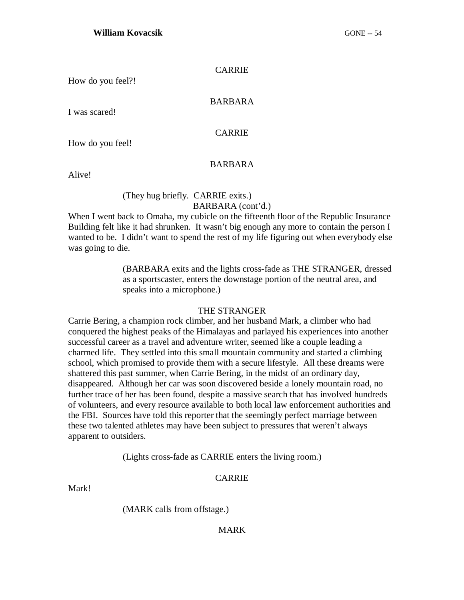### CARRIE

How do you feel?!

### BARBARA

I was scared!

### CARRIE

How do you feel!

### BARBARA

Alive!

### (They hug briefly. CARRIE exits.) BARBARA (cont'd.)

When I went back to Omaha, my cubicle on the fifteenth floor of the Republic Insurance Building felt like it had shrunken. It wasn't big enough any more to contain the person I wanted to be. I didn't want to spend the rest of my life figuring out when everybody else was going to die.

> (BARBARA exits and the lights cross-fade as THE STRANGER, dressed as a sportscaster, enters the downstage portion of the neutral area, and speaks into a microphone.)

### THE STRANGER

Carrie Bering, a champion rock climber, and her husband Mark, a climber who had conquered the highest peaks of the Himalayas and parlayed his experiences into another successful career as a travel and adventure writer, seemed like a couple leading a charmed life. They settled into this small mountain community and started a climbing school, which promised to provide them with a secure lifestyle. All these dreams were shattered this past summer, when Carrie Bering, in the midst of an ordinary day, disappeared. Although her car was soon discovered beside a lonely mountain road, no further trace of her has been found, despite a massive search that has involved hundreds of volunteers, and every resource available to both local law enforcement authorities and the FBI. Sources have told this reporter that the seemingly perfect marriage between these two talented athletes may have been subject to pressures that weren't always apparent to outsiders.

(Lights cross-fade as CARRIE enters the living room.)

# CARRIE

Mark!

(MARK calls from offstage.)

### MARK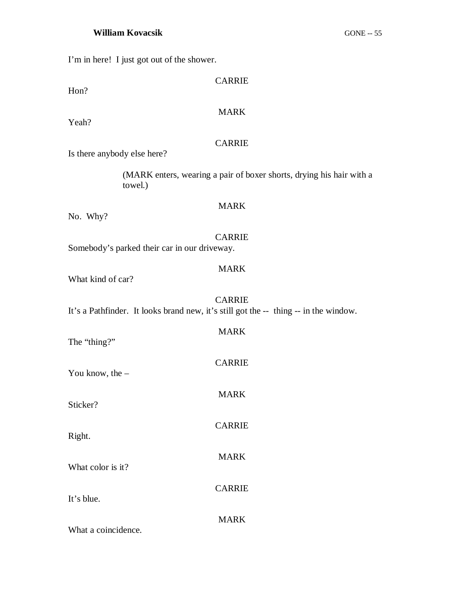I'm in here! I just got out of the shower.

| Hon?                                         | <b>CARRIE</b>                                                                                         |
|----------------------------------------------|-------------------------------------------------------------------------------------------------------|
| Yeah?                                        | <b>MARK</b>                                                                                           |
| Is there anybody else here?                  | <b>CARRIE</b>                                                                                         |
| towel.)                                      | (MARK enters, wearing a pair of boxer shorts, drying his hair with a                                  |
| No. Why?                                     | <b>MARK</b>                                                                                           |
| Somebody's parked their car in our driveway. | <b>CARRIE</b>                                                                                         |
| What kind of car?                            | <b>MARK</b>                                                                                           |
|                                              | <b>CARRIE</b><br>It's a Pathfinder. It looks brand new, it's still got the -- thing -- in the window. |
| The "thing?"                                 | <b>MARK</b>                                                                                           |
| You know, the $-$                            | <b>CARRIE</b>                                                                                         |
| Sticker?                                     | <b>MARK</b>                                                                                           |
| Right.                                       | <b>CARRIE</b>                                                                                         |
| What color is it?                            | <b>MARK</b>                                                                                           |
| It's blue.                                   | <b>CARRIE</b>                                                                                         |
| What a coincidence.                          | <b>MARK</b>                                                                                           |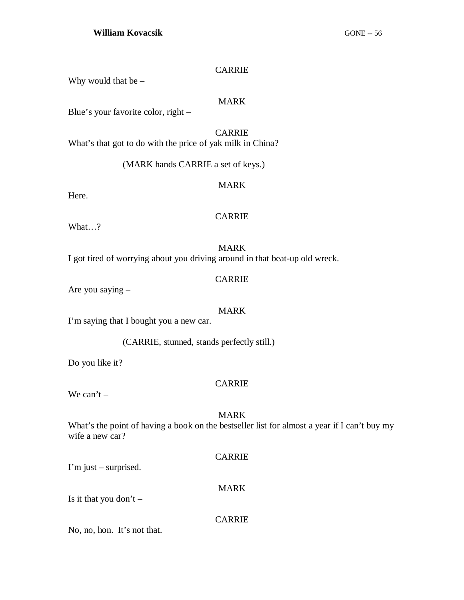### CARRIE

Why would that be  $-$ 

### MARK

Blue's your favorite color, right –

# CARRIE

What's that got to do with the price of yak milk in China?

(MARK hands CARRIE a set of keys.)

### MARK

Here.

### CARRIE

What…?

### MARK

I got tired of worrying about you driving around in that beat-up old wreck.

# CARRIE

Are you saying –

### MARK

I'm saying that I bought you a new car.

(CARRIE, stunned, stands perfectly still.)

Do you like it?

# CARRIE

We can't  $-$ 

# MARK

What's the point of having a book on the bestseller list for almost a year if I can't buy my wife a new car?

### CARRIE

MARK

I'm just – surprised.

Is it that you don't  $-$ 

### CARRIE

No, no, hon. It's not that.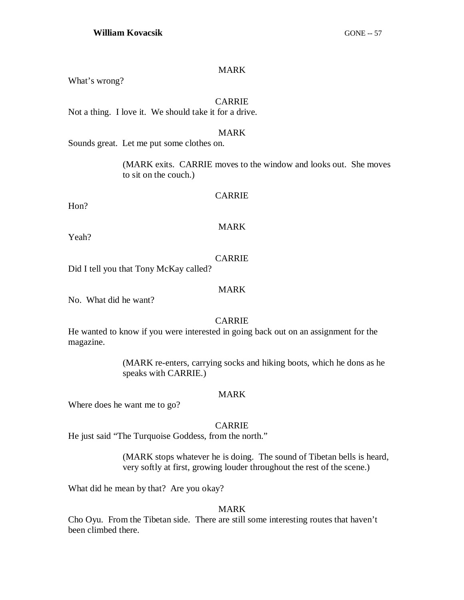### MARK

What's wrong?

### **CARRIE**

Not a thing. I love it. We should take it for a drive.

### MARK

Sounds great. Let me put some clothes on.

(MARK exits. CARRIE moves to the window and looks out. She moves to sit on the couch.)

### CARRIE

Hon?

### MARK

Yeah?

### CARRIE

Did I tell you that Tony McKay called?

### MARK

No. What did he want?

# CARRIE

He wanted to know if you were interested in going back out on an assignment for the magazine.

> (MARK re-enters, carrying socks and hiking boots, which he dons as he speaks with CARRIE.)

### MARK

Where does he want me to go?

### CARRIE

He just said "The Turquoise Goddess, from the north."

(MARK stops whatever he is doing. The sound of Tibetan bells is heard, very softly at first, growing louder throughout the rest of the scene.)

What did he mean by that? Are you okay?

### MARK

Cho Oyu. From the Tibetan side. There are still some interesting routes that haven't been climbed there.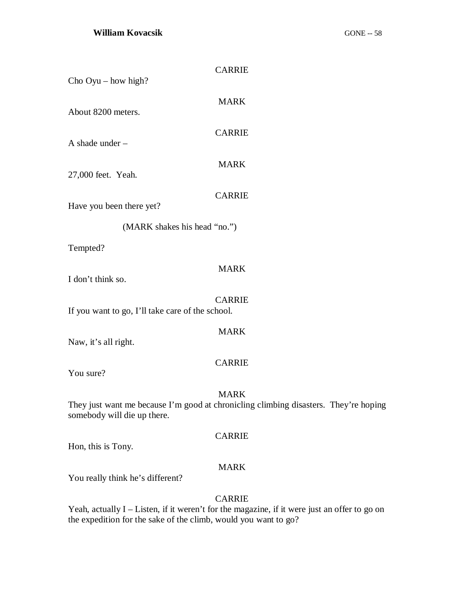| Cho $Oyu - how high?$                            | <b>CARRIE</b>                                                                                       |
|--------------------------------------------------|-----------------------------------------------------------------------------------------------------|
| About 8200 meters.                               | <b>MARK</b>                                                                                         |
|                                                  | <b>CARRIE</b>                                                                                       |
| A shade under -                                  | <b>MARK</b>                                                                                         |
| 27,000 feet. Yeah.                               | <b>CARRIE</b>                                                                                       |
| Have you been there yet?                         |                                                                                                     |
| (MARK shakes his head "no.")                     |                                                                                                     |
| Tempted?                                         |                                                                                                     |
| I don't think so.                                | <b>MARK</b>                                                                                         |
| If you want to go, I'll take care of the school. | <b>CARRIE</b>                                                                                       |
| Naw, it's all right.                             | <b>MARK</b>                                                                                         |
| You sure?                                        | <b>CARRIE</b>                                                                                       |
| somebody will die up there.                      | <b>MARK</b><br>They just want me because I'm good at chronicling climbing disasters. They're hoping |
| Hon, this is Tony.                               | <b>CARRIE</b>                                                                                       |
|                                                  | <b>MARK</b>                                                                                         |

You really think he's different?

# CARRIE

Yeah, actually I – Listen, if it weren't for the magazine, if it were just an offer to go on the expedition for the sake of the climb, would you want to go?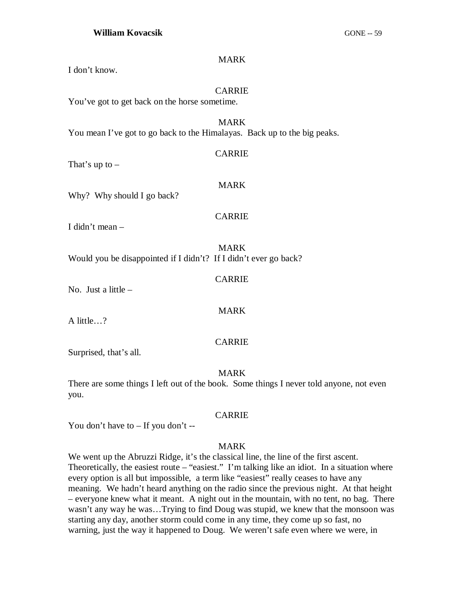### MARK

I don't know.

### CARRIE

You've got to get back on the horse sometime.

MARK You mean I've got to go back to the Himalayas. Back up to the big peaks.

CARRIE

That's up to  $-$ 

Why? Why should I go back?

### CARRIE

CARRIE

MARK

CARRIE

MARK

I didn't mean –

MARK Would you be disappointed if I didn't? If I didn't ever go back?

No. Just a little –

A little…?

Surprised, that's all.

### MARK

There are some things I left out of the book. Some things I never told anyone, not even you.

### CARRIE

You don't have to – If you don't --

### MARK

We went up the Abruzzi Ridge, it's the classical line, the line of the first ascent. Theoretically, the easiest route – "easiest." I'm talking like an idiot. In a situation where every option is all but impossible, a term like "easiest" really ceases to have any meaning. We hadn't heard anything on the radio since the previous night. At that height – everyone knew what it meant. A night out in the mountain, with no tent, no bag. There wasn't any way he was…Trying to find Doug was stupid, we knew that the monsoon was starting any day, another storm could come in any time, they come up so fast, no warning, just the way it happened to Doug. We weren't safe even where we were, in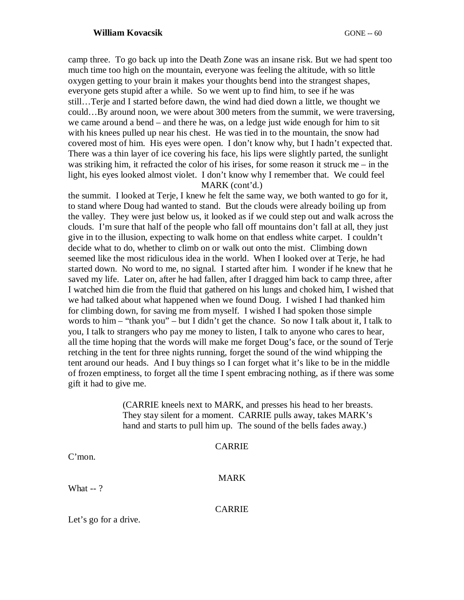camp three. To go back up into the Death Zone was an insane risk. But we had spent too much time too high on the mountain, everyone was feeling the altitude, with so little oxygen getting to your brain it makes your thoughts bend into the strangest shapes, everyone gets stupid after a while. So we went up to find him, to see if he was still…Terje and I started before dawn, the wind had died down a little, we thought we could…By around noon, we were about 300 meters from the summit, we were traversing, we came around a bend – and there he was, on a ledge just wide enough for him to sit with his knees pulled up near his chest. He was tied in to the mountain, the snow had covered most of him. His eyes were open. I don't know why, but I hadn't expected that. There was a thin layer of ice covering his face, his lips were slightly parted, the sunlight was striking him, it refracted the color of his irises, for some reason it struck me – in the light, his eyes looked almost violet. I don't know why I remember that. We could feel MARK (cont'd.)

the summit. I looked at Terje, I knew he felt the same way, we both wanted to go for it, to stand where Doug had wanted to stand. But the clouds were already boiling up from the valley. They were just below us, it looked as if we could step out and walk across the clouds. I'm sure that half of the people who fall off mountains don't fall at all, they just give in to the illusion, expecting to walk home on that endless white carpet. I couldn't decide what to do, whether to climb on or walk out onto the mist. Climbing down seemed like the most ridiculous idea in the world. When I looked over at Terje, he had started down. No word to me, no signal. I started after him. I wonder if he knew that he saved my life. Later on, after he had fallen, after I dragged him back to camp three, after I watched him die from the fluid that gathered on his lungs and choked him, I wished that we had talked about what happened when we found Doug. I wished I had thanked him for climbing down, for saving me from myself. I wished I had spoken those simple words to him – "thank you" – but I didn't get the chance. So now I talk about it, I talk to you, I talk to strangers who pay me money to listen, I talk to anyone who cares to hear, all the time hoping that the words will make me forget Doug's face, or the sound of Terje retching in the tent for three nights running, forget the sound of the wind whipping the tent around our heads. And I buy things so I can forget what it's like to be in the middle of frozen emptiness, to forget all the time I spent embracing nothing, as if there was some gift it had to give me.

> (CARRIE kneels next to MARK, and presses his head to her breasts. They stay silent for a moment. CARRIE pulls away, takes MARK's hand and starts to pull him up. The sound of the bells fades away.)

C'mon.

MARK

What -- ?

CARRIE

Let's go for a drive.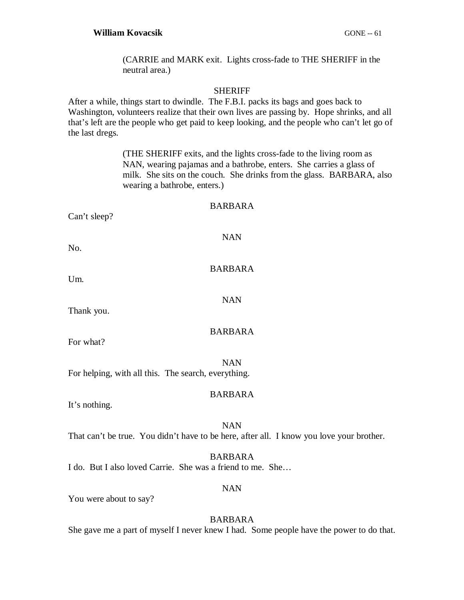(CARRIE and MARK exit. Lights cross-fade to THE SHERIFF in the neutral area.)

### **SHERIFF**

After a while, things start to dwindle. The F.B.I. packs its bags and goes back to Washington, volunteers realize that their own lives are passing by. Hope shrinks, and all that's left are the people who get paid to keep looking, and the people who can't let go of the last dregs.

> (THE SHERIFF exits, and the lights cross-fade to the living room as NAN, wearing pajamas and a bathrobe, enters. She carries a glass of milk. She sits on the couch. She drinks from the glass. BARBARA, also wearing a bathrobe, enters.)

### BARBARA

Can't sleep?

NAN

BARBARA

NAN

No.

Um.

Thank you.

BARBARA

For what?

NAN For helping, with all this. The search, everything.

### BARBARA

It's nothing.

NAN That can't be true. You didn't have to be here, after all. I know you love your brother.

BARBARA I do. But I also loved Carrie. She was a friend to me. She…

### NAN

You were about to say?

# BARBARA

She gave me a part of myself I never knew I had. Some people have the power to do that.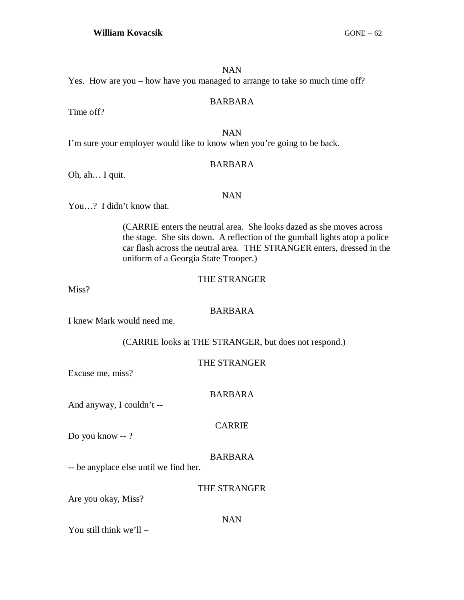### NAN

Yes. How are you – how have you managed to arrange to take so much time off?

### BARBARA

Time off?

# NAN

I'm sure your employer would like to know when you're going to be back.

### BARBARA

Oh, ah… I quit.

### NAN

You…? I didn't know that.

(CARRIE enters the neutral area. She looks dazed as she moves across the stage. She sits down. A reflection of the gumball lights atop a police car flash across the neutral area. THE STRANGER enters, dressed in the uniform of a Georgia State Trooper.)

# THE STRANGER

Miss?

# BARBARA

I knew Mark would need me.

(CARRIE looks at THE STRANGER, but does not respond.)

# THE STRANGER

Excuse me, miss?

# BARBARA

And anyway, I couldn't --

### CARRIE

Do you know -- ?

# BARBARA

-- be anyplace else until we find her.

### THE STRANGER

Are you okay, Miss?

### NAN

You still think we'll –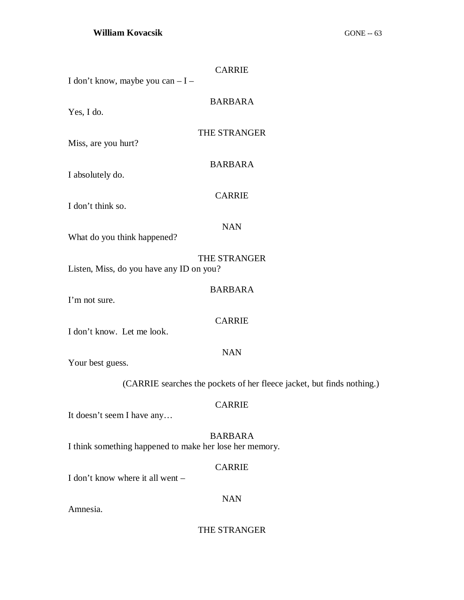| <b>CARRIE</b>                                                          |  |
|------------------------------------------------------------------------|--|
| I don't know, maybe you can - I -                                      |  |
| <b>BARBARA</b>                                                         |  |
| Yes, I do.                                                             |  |
|                                                                        |  |
| THE STRANGER<br>Miss, are you hurt?                                    |  |
|                                                                        |  |
| <b>BARBARA</b>                                                         |  |
| I absolutely do.                                                       |  |
| <b>CARRIE</b>                                                          |  |
| I don't think so.                                                      |  |
| <b>NAN</b>                                                             |  |
| What do you think happened?                                            |  |
| THE STRANGER                                                           |  |
| Listen, Miss, do you have any ID on you?                               |  |
|                                                                        |  |
| <b>BARBARA</b><br>I'm not sure.                                        |  |
|                                                                        |  |
| <b>CARRIE</b>                                                          |  |
| I don't know. Let me look.                                             |  |
| <b>NAN</b>                                                             |  |
| Your best guess.                                                       |  |
| (CARRIE searches the pockets of her fleece jacket, but finds nothing.) |  |
| <b>CARRIE</b>                                                          |  |
| It doesn't seem I have any                                             |  |
| <b>BARBARA</b>                                                         |  |
| I think something happened to make her lose her memory.                |  |
| <b>CARRIE</b>                                                          |  |
| I don't know where it all went –                                       |  |
| <b>NAN</b>                                                             |  |
| Amnesia.                                                               |  |

THE STRANGER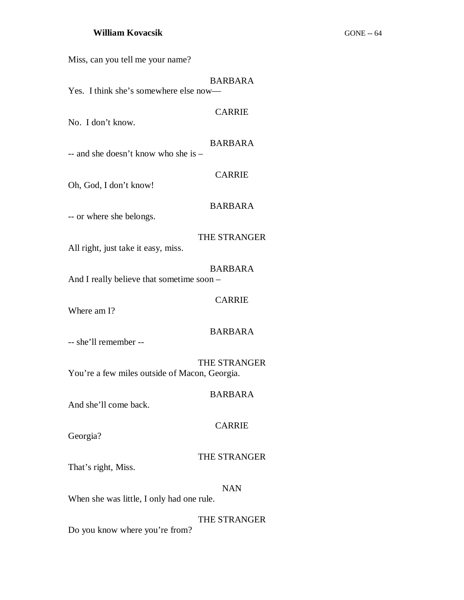Miss, can you tell me your name?

# BARBARA

CARRIE

Yes. I think she's somewhere else now—

### No. I don't know.

### BARBARA

-- and she doesn't know who she is –

# CARRIE

Oh, God, I don't know!

# BARBARA

-- or where she belongs.

# THE STRANGER

All right, just take it easy, miss.

# BARBARA

And I really believe that sometime soon –

# CARRIE

Where am I?

### BARBARA

-- she'll remember --

# THE STRANGER You're a few miles outside of Macon, Georgia.

### BARBARA

And she'll come back.

# CARRIE

Georgia?

# THE STRANGER

That's right, Miss.

### NAN

When she was little, I only had one rule.

THE STRANGER

Do you know where you're from?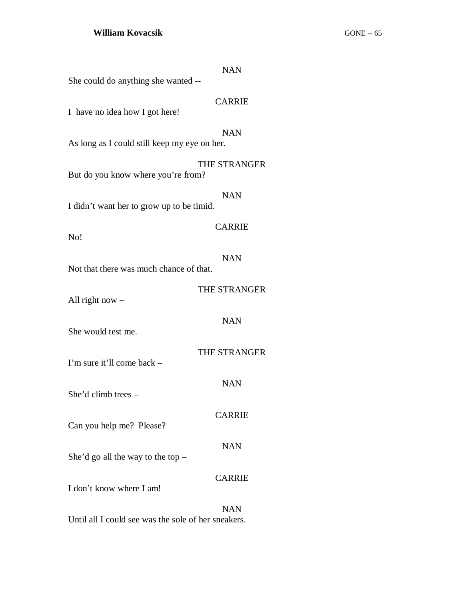|                                                     | <b>NAN</b>    |
|-----------------------------------------------------|---------------|
| She could do anything she wanted --                 |               |
| I have no idea how I got here!                      | <b>CARRIE</b> |
| As long as I could still keep my eye on her.        | <b>NAN</b>    |
| But do you know where you're from?                  | THE STRANGER  |
| I didn't want her to grow up to be timid.           | <b>NAN</b>    |
| No!                                                 | <b>CARRIE</b> |
| Not that there was much chance of that.             | <b>NAN</b>    |
| All right now $-$                                   | THE STRANGER  |
| She would test me.                                  | <b>NAN</b>    |
| I'm sure it'll come back –                          | THE STRANGER  |
| She'd climb trees $-$                               | <b>NAN</b>    |
| Can you help me? Please?                            | <b>CARRIE</b> |
| She'd go all the way to the top $-$                 | <b>NAN</b>    |
| I don't know where I am!                            | <b>CARRIE</b> |
| Until all I could see was the sole of her sneakers. | <b>NAN</b>    |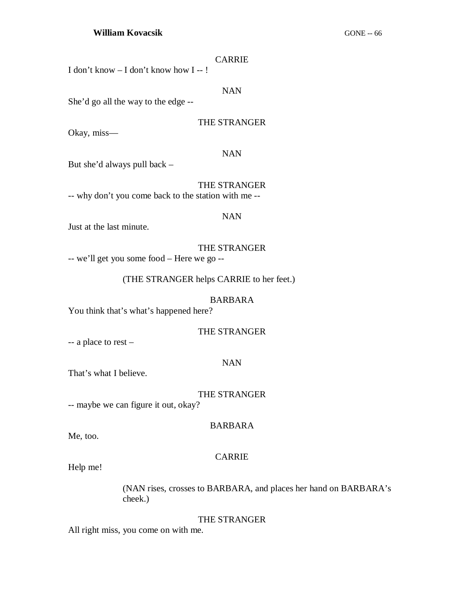| I don't know $-$ I don't know how I $-$ !                                |            |
|--------------------------------------------------------------------------|------------|
|                                                                          | <b>NAN</b> |
| $\mathbb{R}^3$ and $\mathbb{R}^3$ all the wey to the edge $\mathbb{R}^3$ |            |

She'd go all the way to the edge

### THE STRANGER

CARRIE

Okay, miss—

### NAN

But she'd always pull back –

THE STRANGER -- why don't you come back to the station with me --

#### NAN

Just at the last minute.

THE STRANGER -- we'll get you some food – Here we go --

(THE STRANGER helps CARRIE to her feet.)

### BARBARA

You think that's what's happened here?

THE STRANGER

-- a place to rest –

### NAN

That's what I believe.

### THE STRANGER

-- maybe we can figure it out, okay?

### BARBARA

Me, too.

### CARRIE

Help me!

(NAN rises, crosses to BARBARA, and places her hand on BARBARA's cheek.)

### THE STRANGER

All right miss, you come on with me.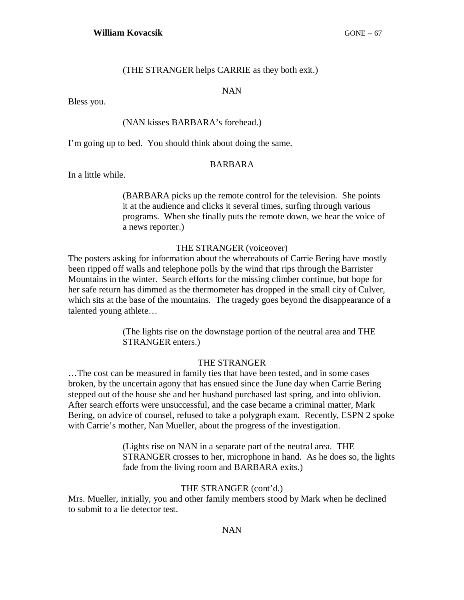### (THE STRANGER helps CARRIE as they both exit.)

#### NAN

Bless you.

### (NAN kisses BARBARA's forehead.)

I'm going up to bed. You should think about doing the same.

### BARBARA

In a little while.

(BARBARA picks up the remote control for the television. She points it at the audience and clicks it several times, surfing through various programs. When she finally puts the remote down, we hear the voice of a news reporter.)

### THE STRANGER (voiceover)

The posters asking for information about the whereabouts of Carrie Bering have mostly been ripped off walls and telephone polls by the wind that rips through the Barrister Mountains in the winter. Search efforts for the missing climber continue, but hope for her safe return has dimmed as the thermometer has dropped in the small city of Culver, which sits at the base of the mountains. The tragedy goes beyond the disappearance of a talented young athlete…

> (The lights rise on the downstage portion of the neutral area and THE STRANGER enters.)

### THE STRANGER

…The cost can be measured in family ties that have been tested, and in some cases broken, by the uncertain agony that has ensued since the June day when Carrie Bering stepped out of the house she and her husband purchased last spring, and into oblivion. After search efforts were unsuccessful, and the case became a criminal matter, Mark Bering, on advice of counsel, refused to take a polygraph exam. Recently, ESPN 2 spoke with Carrie's mother, Nan Mueller, about the progress of the investigation.

> (Lights rise on NAN in a separate part of the neutral area. THE STRANGER crosses to her, microphone in hand. As he does so, the lights fade from the living room and BARBARA exits.)

#### THE STRANGER (cont'd.)

Mrs. Mueller, initially, you and other family members stood by Mark when he declined to submit to a lie detector test.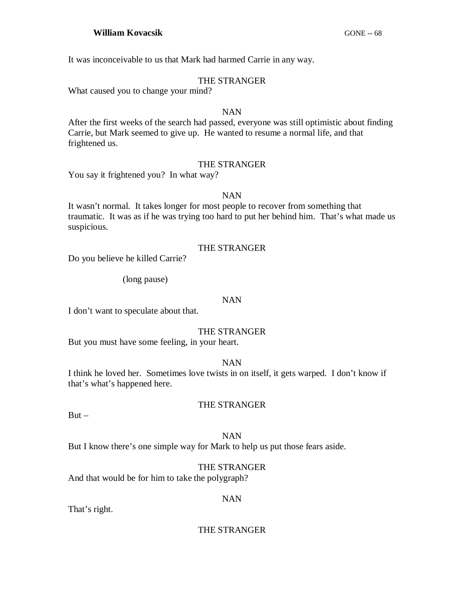It was inconceivable to us that Mark had harmed Carrie in any way.

### THE STRANGER

What caused you to change your mind?

### NAN

After the first weeks of the search had passed, everyone was still optimistic about finding Carrie, but Mark seemed to give up. He wanted to resume a normal life, and that frightened us.

# THE STRANGER

You say it frightened you? In what way?

### NAN

It wasn't normal. It takes longer for most people to recover from something that traumatic. It was as if he was trying too hard to put her behind him. That's what made us suspicious.

# THE STRANGER

Do you believe he killed Carrie?

(long pause)

### NAN

I don't want to speculate about that.

### THE STRANGER

But you must have some feeling, in your heart.

### NAN

I think he loved her. Sometimes love twists in on itself, it gets warped. I don't know if that's what's happened here.

# THE STRANGER

 $But -$ 

# NAN

But I know there's one simple way for Mark to help us put those fears aside.

# THE STRANGER

And that would be for him to take the polygraph?

### NAN

That's right.

### THE STRANGER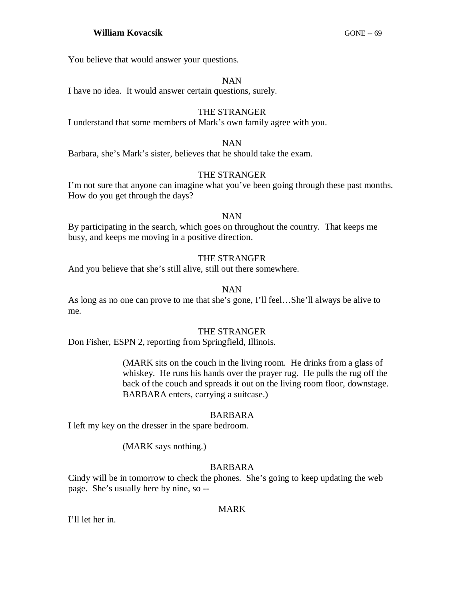You believe that would answer your questions.

### NAN

I have no idea. It would answer certain questions, surely.

### THE STRANGER

I understand that some members of Mark's own family agree with you.

### NAN

Barbara, she's Mark's sister, believes that he should take the exam.

### THE STRANGER

I'm not sure that anyone can imagine what you've been going through these past months. How do you get through the days?

### NAN

By participating in the search, which goes on throughout the country. That keeps me busy, and keeps me moving in a positive direction.

### THE STRANGER

And you believe that she's still alive, still out there somewhere.

### NAN

As long as no one can prove to me that she's gone, I'll feel…She'll always be alive to me.

### THE STRANGER

Don Fisher, ESPN 2, reporting from Springfield, Illinois.

(MARK sits on the couch in the living room. He drinks from a glass of whiskey. He runs his hands over the prayer rug. He pulls the rug off the back of the couch and spreads it out on the living room floor, downstage. BARBARA enters, carrying a suitcase.)

### BARBARA

I left my key on the dresser in the spare bedroom.

### (MARK says nothing.)

### BARBARA

Cindy will be in tomorrow to check the phones. She's going to keep updating the web page. She's usually here by nine, so --

### MARK

I'll let her in.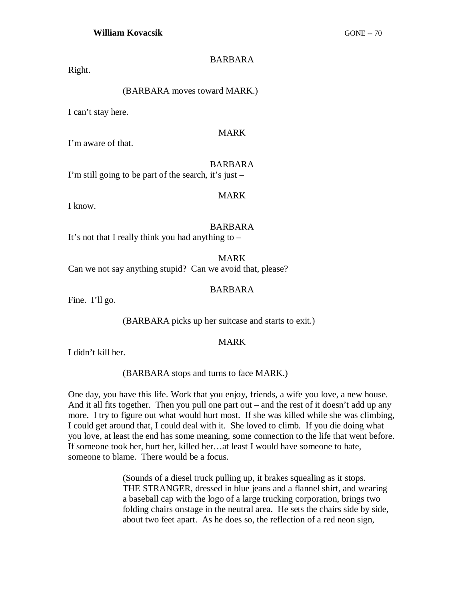# BARBARA

Right.

# (BARBARA moves toward MARK.)

I can't stay here.

# MARK

I'm aware of that.

### BARBARA

I'm still going to be part of the search, it's just –

### MARK

I know.

### BARBARA

It's not that I really think you had anything to  $-$ 

MARK

Can we not say anything stupid? Can we avoid that, please?

### BARBARA

Fine. I'll go.

(BARBARA picks up her suitcase and starts to exit.)

### MARK

I didn't kill her.

(BARBARA stops and turns to face MARK.)

One day, you have this life. Work that you enjoy, friends, a wife you love, a new house. And it all fits together. Then you pull one part out – and the rest of it doesn't add up any more. I try to figure out what would hurt most. If she was killed while she was climbing, I could get around that, I could deal with it. She loved to climb. If you die doing what you love, at least the end has some meaning, some connection to the life that went before. If someone took her, hurt her, killed her…at least I would have someone to hate, someone to blame. There would be a focus.

> (Sounds of a diesel truck pulling up, it brakes squealing as it stops. THE STRANGER, dressed in blue jeans and a flannel shirt, and wearing a baseball cap with the logo of a large trucking corporation, brings two folding chairs onstage in the neutral area. He sets the chairs side by side, about two feet apart. As he does so, the reflection of a red neon sign,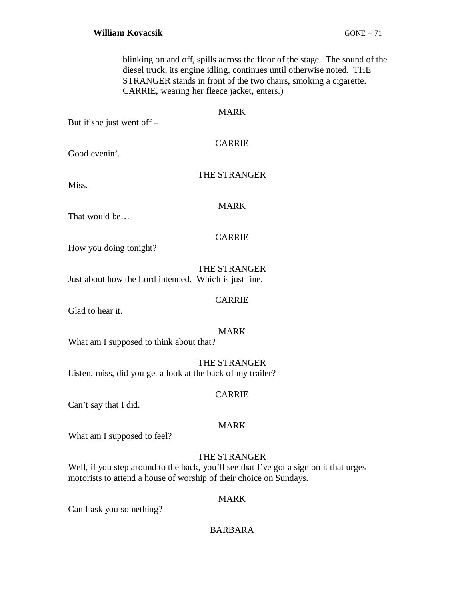blinking on and off, spills across the floor of the stage. The sound of the diesel truck, its engine idling, continues until otherwise noted. THE STRANGER stands in front of the two chairs, smoking a cigarette. CARRIE, wearing her fleece jacket, enters.)

### MARK

But if she just went off –

CARRIE

Good evenin'.

# THE STRANGER

Miss.

# MARK

That would be…

# CARRIE

How you doing tonight?

THE STRANGER Just about how the Lord intended. Which is just fine.

CARRIE

Glad to hear it.

### MARK

What am I supposed to think about that?

THE STRANGER Listen, miss, did you get a look at the back of my trailer?

# CARRIE

Can't say that I did.

# MARK

What am I supposed to feel?

# THE STRANGER

Well, if you step around to the back, you'll see that I've got a sign on it that urges motorists to attend a house of worship of their choice on Sundays.

# MARK

Can I ask you something?

# BARBARA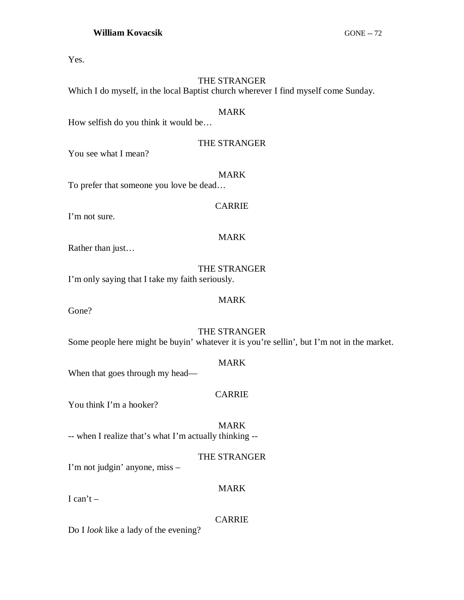Yes.

# THE STRANGER

Which I do myself, in the local Baptist church wherever I find myself come Sunday.

# MARK

How selfish do you think it would be…

# THE STRANGER

You see what I mean?

MARK

To prefer that someone you love be dead…

I'm not sure.

# MARK

CARRIE

Rather than just…

THE STRANGER

I'm only saying that I take my faith seriously.

Gone?

# MARK

THE STRANGER Some people here might be buyin' whatever it is you're sellin', but I'm not in the market.

# MARK

When that goes through my head—

# CARRIE

You think I'm a hooker?

MARK -- when I realize that's what I'm actually thinking --

# THE STRANGER

MARK

I'm not judgin' anyone, miss –

# I can't  $-$

# CARRIE

Do I *look* like a lady of the evening?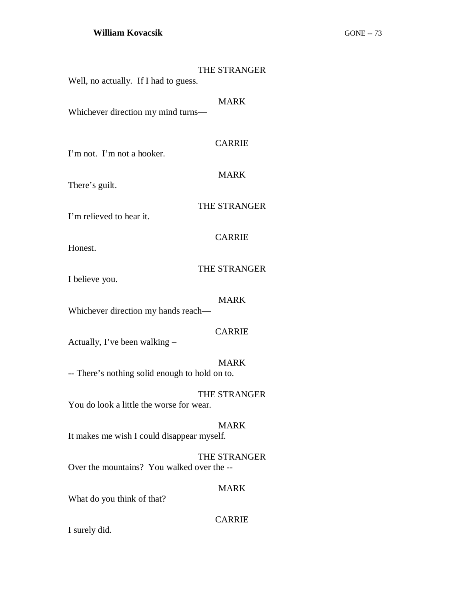| Well, no actually. If I had to guess.              | THE STRANGER  |
|----------------------------------------------------|---------------|
| Whichever direction my mind turns-                 | <b>MARK</b>   |
| I'm not. I'm not a hooker.                         | <b>CARRIE</b> |
| There's guilt.                                     | <b>MARK</b>   |
| I'm relieved to hear it.                           | THE STRANGER  |
| Honest.                                            | <b>CARRIE</b> |
| I believe you.                                     | THE STRANGER  |
| <b>MARK</b><br>Whichever direction my hands reach- |               |
| Actually, I've been walking -                      | <b>CARRIE</b> |
| -- There's nothing solid enough to hold on to.     | <b>MARK</b>   |
| You do look a little the worse for wear.           | THE STRANGER  |
| It makes me wish I could disappear myself.         | <b>MARK</b>   |
| Over the mountains? You walked over the --         | THE STRANGER  |
| What do you think of that?                         | <b>MARK</b>   |

CARRIE

I surely did.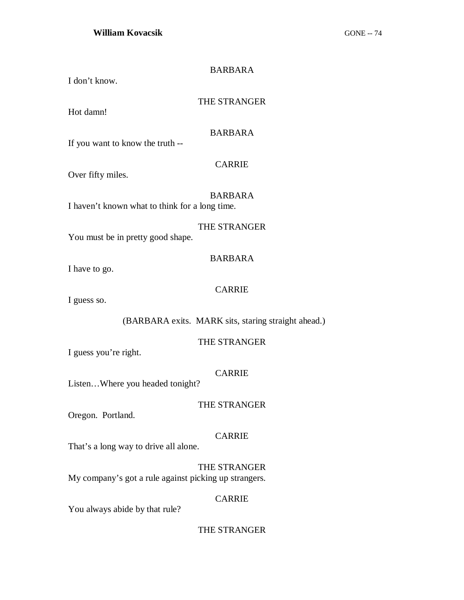| I don't know.                                         | <b>BARBARA</b> |
|-------------------------------------------------------|----------------|
| Hot damn!                                             | THE STRANGER   |
| If you want to know the truth --                      | <b>BARBARA</b> |
| Over fifty miles.                                     | <b>CARRIE</b>  |
| I haven't known what to think for a long time.        | <b>BARBARA</b> |
| You must be in pretty good shape.                     | THE STRANGER   |
| I have to go.                                         | <b>BARBARA</b> |
| I guess so.                                           | <b>CARRIE</b>  |
| (BARBARA exits. MARK sits, staring straight ahead.)   |                |
| I guess you're right.                                 | THE STRANGER   |
| ListenWhere you headed tonight?                       | <b>CARRIE</b>  |
| Oregon. Portland.                                     | THE STRANGER   |
| That's a long way to drive all alone.                 | <b>CARRIE</b>  |
| My company's got a rule against picking up strangers. | THE STRANGER   |
|                                                       | <b>CARRIE</b>  |

You always abide by that rule?

THE STRANGER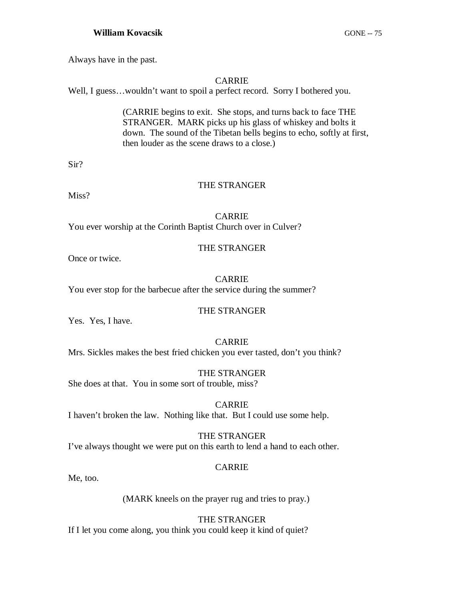## **William Kovacsik** GONE -- 75

Always have in the past.

## CARRIE

Well, I guess…wouldn't want to spoil a perfect record. Sorry I bothered you.

(CARRIE begins to exit. She stops, and turns back to face THE STRANGER. MARK picks up his glass of whiskey and bolts it down. The sound of the Tibetan bells begins to echo, softly at first, then louder as the scene draws to a close.)

Sir?

## THE STRANGER

Miss?

CARRIE You ever worship at the Corinth Baptist Church over in Culver?

## THE STRANGER

Once or twice.

## CARRIE

You ever stop for the barbecue after the service during the summer?

## THE STRANGER

Yes. Yes, I have.

## CARRIE

Mrs. Sickles makes the best fried chicken you ever tasted, don't you think?

THE STRANGER

She does at that. You in some sort of trouble, miss?

CARRIE I haven't broken the law. Nothing like that. But I could use some help.

# THE STRANGER

I've always thought we were put on this earth to lend a hand to each other.

## CARRIE

Me, too.

(MARK kneels on the prayer rug and tries to pray.)

## THE STRANGER

If I let you come along, you think you could keep it kind of quiet?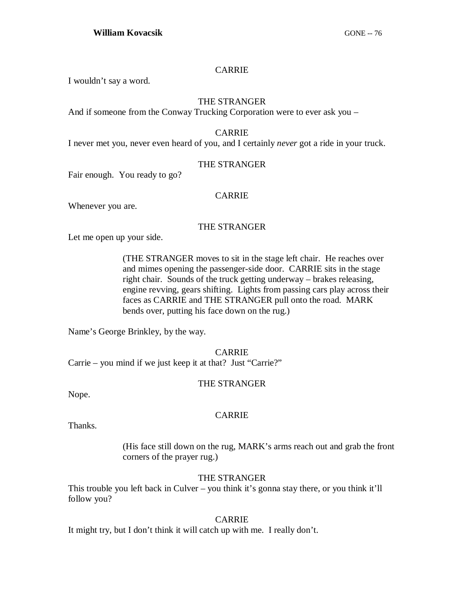## CARRIE

I wouldn't say a word.

## THE STRANGER

And if someone from the Conway Trucking Corporation were to ever ask you –

## CARRIE

I never met you, never even heard of you, and I certainly *never* got a ride in your truck.

## THE STRANGER

Fair enough. You ready to go?

## CARRIE

Whenever you are.

## THE STRANGER

Let me open up your side.

(THE STRANGER moves to sit in the stage left chair. He reaches over and mimes opening the passenger-side door. CARRIE sits in the stage right chair. Sounds of the truck getting underway – brakes releasing, engine revving, gears shifting. Lights from passing cars play across their faces as CARRIE and THE STRANGER pull onto the road. MARK bends over, putting his face down on the rug.)

Name's George Brinkley, by the way.

CARRIE

Carrie – you mind if we just keep it at that? Just "Carrie?"

## THE STRANGER

Nope.

## CARRIE

Thanks.

(His face still down on the rug, MARK's arms reach out and grab the front corners of the prayer rug.)

## THE STRANGER

This trouble you left back in Culver – you think it's gonna stay there, or you think it'll follow you?

## CARRIE

It might try, but I don't think it will catch up with me. I really don't.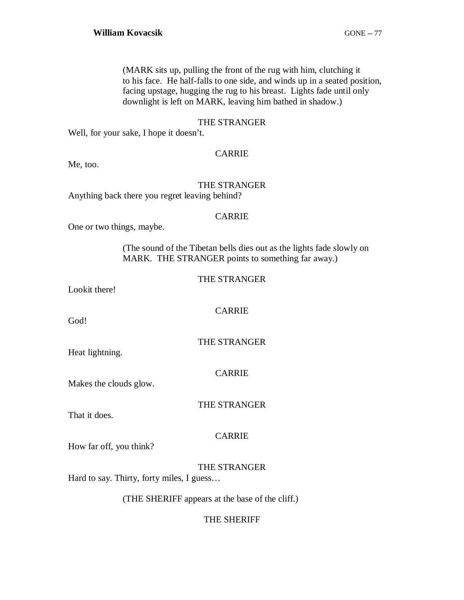(MARK sits up, pulling the front of the rug with him, clutching it to his face. He half-falls to one side, and winds up in a seated position, facing upstage, hugging the rug to his breast. Lights fade until only downlight is left on MARK, leaving him bathed in shadow.)

#### THE STRANGER

Well, for your sake, I hope it doesn't.

## CARRIE

Me, too.

## THE STRANGER Anything back there you regret leaving behind?

#### CARRIE

One or two things, maybe.

(The sound of the Tibetan bells dies out as the lights fade slowly on MARK. THE STRANGER points to something far away.)

## THE STRANGER

Lookit there!

CARRIE

God!

THE STRANGER

Heat lightning.

CARRIE

Makes the clouds glow.

THE STRANGER

That it does.

## CARRIE

How far off, you think?

THE STRANGER

Hard to say. Thirty, forty miles, I guess…

(THE SHERIFF appears at the base of the cliff.)

## THE SHERIFF